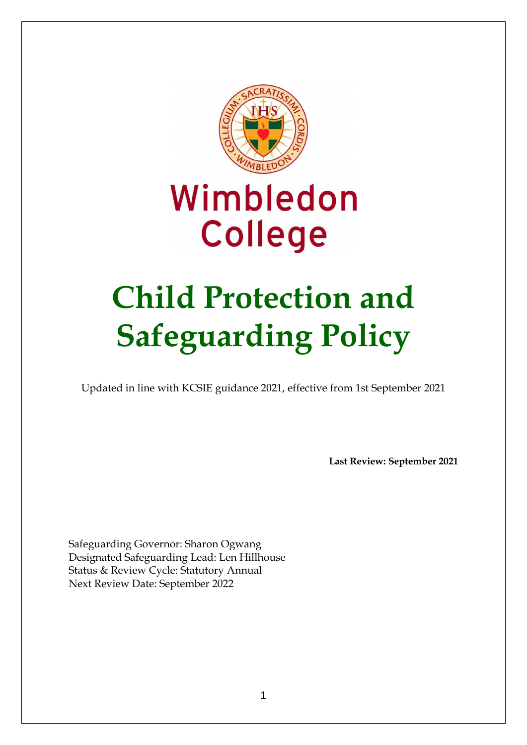

# Wimbledon **College**

# **Child Protection and Safeguarding Policy**

Updated in line with KCSIE guidance 2021, effective from 1st September 2021

**Last Review: September 2021**

Safeguarding Governor: Sharon Ogwang Designated Safeguarding Lead: Len Hillhouse Status & Review Cycle: Statutory Annual Next Review Date: September 2022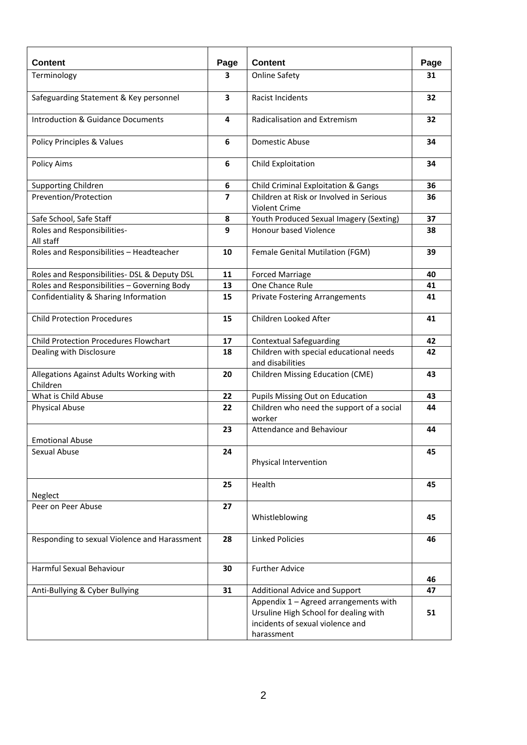| <b>Content</b>                                      | Page           | <b>Content</b>                                                                                                                   | Page |
|-----------------------------------------------------|----------------|----------------------------------------------------------------------------------------------------------------------------------|------|
| Terminology                                         | 3              | <b>Online Safety</b>                                                                                                             | 31   |
| Safeguarding Statement & Key personnel              | 3              | <b>Racist Incidents</b>                                                                                                          | 32   |
| <b>Introduction &amp; Guidance Documents</b>        | 4              | Radicalisation and Extremism                                                                                                     | 32   |
| Policy Principles & Values                          | 6              | Domestic Abuse                                                                                                                   | 34   |
| <b>Policy Aims</b>                                  | 6              | Child Exploitation                                                                                                               | 34   |
| Supporting Children                                 | 6              | Child Criminal Exploitation & Gangs                                                                                              | 36   |
| Prevention/Protection                               | $\overline{7}$ | Children at Risk or Involved in Serious<br><b>Violent Crime</b>                                                                  | 36   |
| Safe School, Safe Staff                             | 8              | Youth Produced Sexual Imagery (Sexting)                                                                                          | 37   |
| Roles and Responsibilities-<br>All staff            | 9              | <b>Honour based Violence</b>                                                                                                     | 38   |
| Roles and Responsibilities - Headteacher            | 10             | Female Genital Mutilation (FGM)                                                                                                  | 39   |
| Roles and Responsibilities- DSL & Deputy DSL        | 11             | <b>Forced Marriage</b>                                                                                                           | 40   |
| Roles and Responsibilities - Governing Body         | 13             | One Chance Rule                                                                                                                  | 41   |
| Confidentiality & Sharing Information               | 15             | <b>Private Fostering Arrangements</b>                                                                                            | 41   |
| <b>Child Protection Procedures</b>                  | 15             | Children Looked After                                                                                                            | 41   |
| <b>Child Protection Procedures Flowchart</b>        | 17             | <b>Contextual Safeguarding</b>                                                                                                   | 42   |
| Dealing with Disclosure                             | 18             | Children with special educational needs<br>and disabilities                                                                      | 42   |
| Allegations Against Adults Working with<br>Children | 20             | Children Missing Education (CME)                                                                                                 | 43   |
| What is Child Abuse                                 | 22             | Pupils Missing Out on Education                                                                                                  | 43   |
| <b>Physical Abuse</b>                               | 22             | Children who need the support of a social<br>worker                                                                              | 44   |
| <b>Emotional Abuse</b>                              | 23             | Attendance and Behaviour                                                                                                         | 44   |
| Sexual Abuse                                        | 24             | Physical Intervention                                                                                                            | 45   |
| Neglect                                             | 25             | Health                                                                                                                           | 45   |
| Peer on Peer Abuse                                  | 27             |                                                                                                                                  |      |
|                                                     |                | Whistleblowing                                                                                                                   | 45   |
| Responding to sexual Violence and Harassment        | 28             | <b>Linked Policies</b>                                                                                                           | 46   |
| Harmful Sexual Behaviour                            | 30             | <b>Further Advice</b>                                                                                                            | 46   |
| Anti-Bullying & Cyber Bullying                      | 31             | Additional Advice and Support                                                                                                    | 47   |
|                                                     |                | Appendix 1 - Agreed arrangements with<br>Ursuline High School for dealing with<br>incidents of sexual violence and<br>harassment | 51   |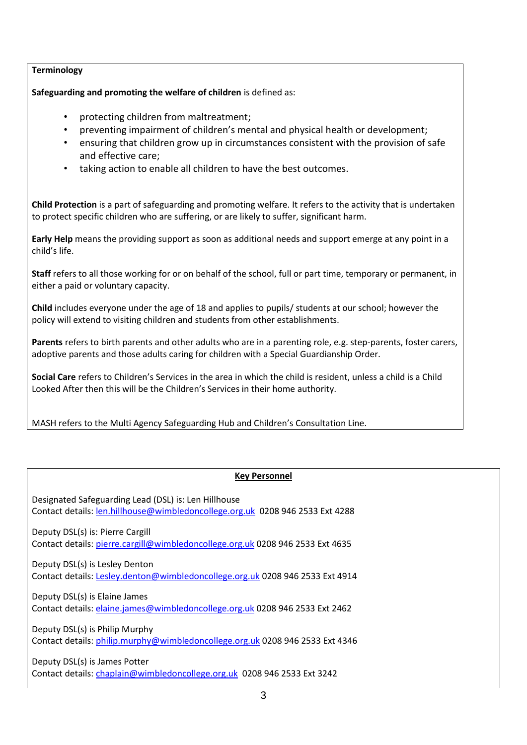## **Terminology**

**Safeguarding and promoting the welfare of children** is defined as:

- protecting children from maltreatment;
- preventing impairment of children's mental and physical health or development;
- ensuring that children grow up in circumstances consistent with the provision of safe and effective care;
- taking action to enable all children to have the best outcomes.

**Child Protection** is a part of safeguarding and promoting welfare. It refers to the activity that is undertaken to protect specific children who are suffering, or are likely to suffer, significant harm.

**Early Help** means the providing support as soon as additional needs and support emerge at any point in a child's life.

**Staff** refers to all those working for or on behalf of the school, full or part time, temporary or permanent, in either a paid or voluntary capacity.

**Child** includes everyone under the age of 18 and applies to pupils/ students at our school; however the policy will extend to visiting children and students from other establishments.

**Parents** refers to birth parents and other adults who are in a parenting role, e.g. step-parents, foster carers, adoptive parents and those adults caring for children with a Special Guardianship Order.

**Social Care** refers to Children's Services in the area in which the child is resident, unless a child is a Child Looked After then this will be the Children's Services in their home authority.

MASH refers to the Multi Agency Safeguarding Hub and Children's Consultation Line.

## **Key Personnel**

Designated Safeguarding Lead (DSL) is: Len Hillhouse Contact details: [len.hillhouse@wimbledoncollege.org.uk](mailto:len.hillhouse@wimbledoncollege.org.uk) 0208 946 2533 Ext 4288 Deputy DSL(s) is: Pierre Cargill Contact details: [pierre.cargill@wimbledoncollege.org.uk](mailto:pierre.cargill@wimbledoncollege.org.uk) 0208 946 2533 Ext 4635 Deputy DSL(s) is Lesley Denton Contact details: [Lesley.denton@wimbledoncollege.org.uk](mailto:Lesley.denton@wimbledoncollege.org.uk) 0208 946 2533 Ext 4914 Deputy DSL(s) is Elaine James Contact details: [elaine.james@wimbledoncollege.org.uk](mailto:elaine.james@wimbledoncollege.org.uk) 0208 946 2533 Ext 2462 Deputy DSL(s) is Philip Murphy Contact details: [philip.murphy@wimbledoncollege.org.uk](mailto:philip.murphy@wimbledoncollege.org.uk) 0208 946 2533 Ext 4346 Deputy DSL(s) is James Potter Contact details: [chaplain@wimbledoncollege.org.uk](mailto:chaplain@wimbledoncollege.org.uk) 0208 946 2533 Ext 3242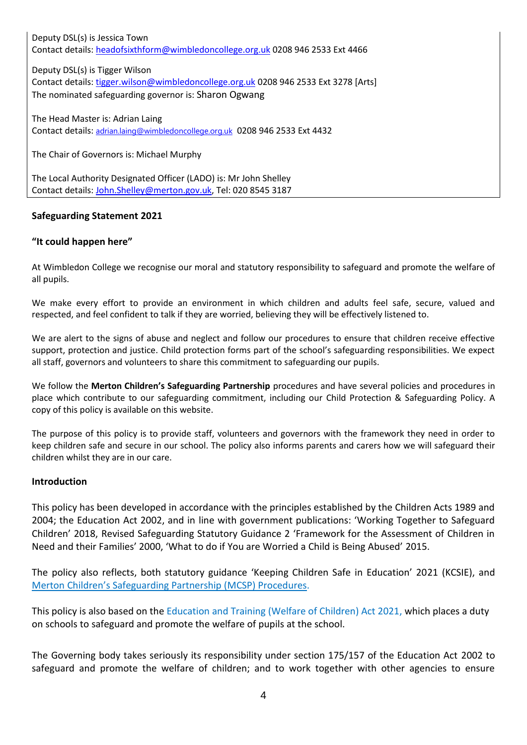Deputy DSL(s) is Jessica Town Contact details: [headofsixthform@wimbledoncollege.org.uk](mailto:headofsixthform@wimbledoncollege.org.uk) 0208 946 2533 Ext 4466

Deputy DSL(s) is Tigger Wilson Contact details: [tigger.wilson@wimbledoncollege.org.uk](mailto:tigger.wilson@wimbledoncollege.org.uk) 0208 946 2533 Ext 3278 [Arts] The nominated safeguarding governor is: Sharon Ogwang

The Head Master is: Adrian Laing Contact details: [adrian.laing@wimbledoncollege.org.uk](mailto:adrian.laing@wimbledoncollege.org.uk) 0208 946 2533 Ext 4432

The Chair of Governors is: Michael Murphy

The Local Authority Designated Officer (LADO) is: Mr John Shelley Contact details: [John.Shelley@merton.gov.uk,](mailto:John.Shelley@merton.gov.uk) Tel: 020 8545 3187

## **Safeguarding Statement 2021**

## **"It could happen here"**

At Wimbledon College we recognise our moral and statutory responsibility to safeguard and promote the welfare of all pupils.

We make every effort to provide an environment in which children and adults feel safe, secure, valued and respected, and feel confident to talk if they are worried, believing they will be effectively listened to.

We are alert to the signs of abuse and neglect and follow our procedures to ensure that children receive effective support, protection and justice. Child protection forms part of the school's safeguarding responsibilities. We expect all staff, governors and volunteers to share this commitment to safeguarding our pupils.

We follow the **Merton Children's Safeguarding Partnership** procedures and have several policies and procedures in place which contribute to our safeguarding commitment, including our Child Protection & Safeguarding Policy. A copy of this policy is available on this website.

The purpose of this policy is to provide staff, volunteers and governors with the framework they need in order to keep children safe and secure in our school. The policy also informs parents and carers how we will safeguard their children whilst they are in our care.

## **Introduction**

This policy has been developed in accordance with the principles established by the Children Acts 1989 and 2004; the Education Act 2002, and in line with government publications: 'Working Together to Safeguard Children' 2018, Revised Safeguarding Statutory Guidance 2 'Framework for the Assessment of Children in Need and their Families' 2000, 'What to do if You are Worried a Child is Being Abused' 2015.

The policy also reflects, both statutory guidance 'Keeping Children Safe in Education' 2021 (KCSIE), and Merton [Children's Safeguarding Partnership \(](https://mertoncs.proceduresonline.com/)MCSP) Procedures.

This policy is also based on the Education and Training (Welfare of Children) Act 2021, which places a duty on schools to safeguard and promote the welfare of pupils at the school.

The Governing body takes seriously its responsibility under section 175/157 of the Education Act 2002 to safeguard and promote the welfare of children; and to work together with other agencies to ensure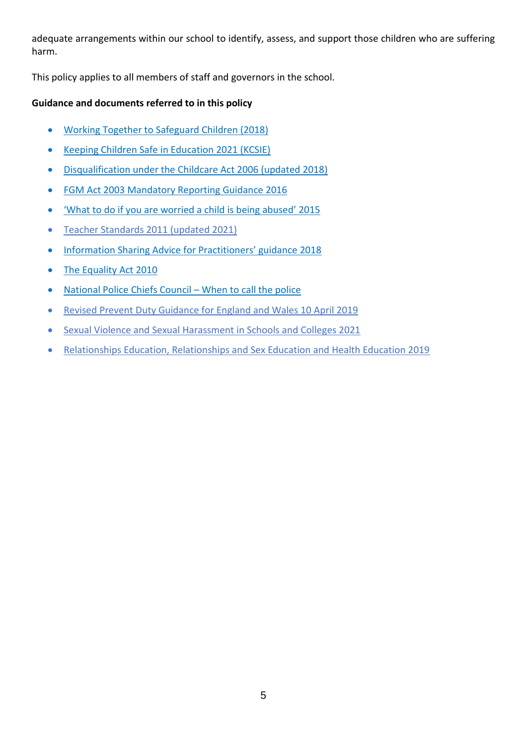adequate arrangements within our school to identify, assess, and support those children who are suffering harm.

This policy applies to all members of staff and governors in the school.

# **Guidance and documents referred to in this policy**

- [Working Together to Safeguard Children \(2018\)](https://www.gov.uk/government/publications/working-together-to-safeguard-children--2)
- [Keeping Children Safe in Education 2021 \(KCSIE\)](https://assets.publishing.service.gov.uk/government/uploads/system/uploads/attachment_data/file/999348/Keeping_children_safe_in_education_2021.pdf)
- [Disqualification under the Childcare Act 2006 \(updated 2018\)](https://www.gov.uk/government/publications/disqualification-under-the-childcare-act-2006/disqualification-under-the-childcare-act-2006)
- [FGM Act 2003 Mandatory Reporting Guidance 2016](https://www.gov.uk/government/publications/mandatory-reporting-of-female-genital-mutilation-procedural-information)
- 'What to [do if you are worried a child is being abused' 2015](https://assets.publishing.service.gov.uk/government/uploads/system/uploads/attachment_data/file/419604/What_to_do_if_you_re_worried_a_child_is_being_abused.pdf)
- [Teacher Standards 2011](https://assets.publishing.service.gov.uk/government/uploads/system/uploads/attachment_data/file/1007716/Teachers__Standards_2021_update.pdf) (updated 2021)
- [Information Sharing Advice for Practitioners' guidance 2018](https://assets.publishing.service.gov.uk/government/uploads/system/uploads/attachment_data/file/721581/Information_sharing_advice_practitioners_safeguarding_services.pdf)
- [The Equality Act 2010](https://www.gov.uk/guidance/equality-act-2010-guidance)
- [National Police Chiefs Council](https://www.npcc.police.uk/documents/Children%20and%20Young%20people/When%20to%20call%20the%20police%20guidance%20for%20schools%20and%20colleges.pdf)  When to call the police
- [Revised Prevent Duty Guidance for England and Wales 10 April 2019](https://www.gov.uk/government/publications/prevent-duty-guidance/revised-prevent-duty-guidance-for-england-and-wales)
- [Sexual Violence and Sexual Harassment in Schools and Colleges 2021](https://assets.publishing.service.gov.uk/government/uploads/system/uploads/attachment_data/file/999239/SVSH_2021.pdf)
- [Relationships Education, Relationships and Sex Education and Health Education 2019](https://assets.publishing.service.gov.uk/government/uploads/system/uploads/attachment_data/file/908013/Relationships_Education__Relationships_and_Sex_Education__RSE__and_Health_Education.pdf)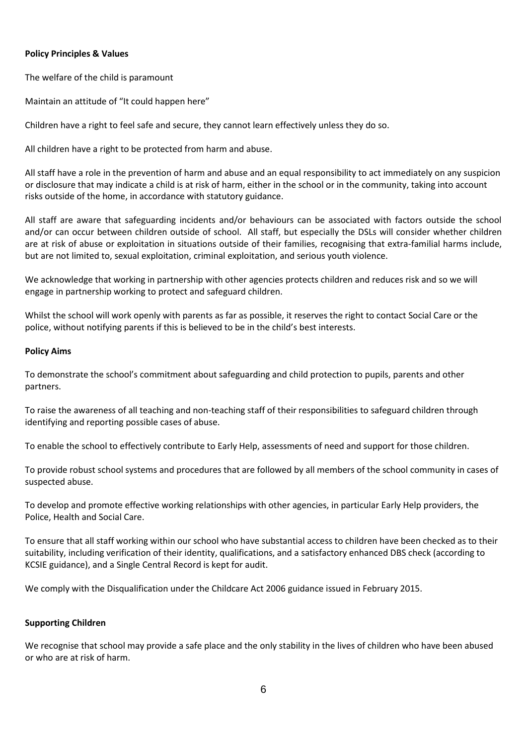## **Policy Principles & Values**

The welfare of the child is paramount

Maintain an attitude of "It could happen here"

Children have a right to feel safe and secure, they cannot learn effectively unless they do so.

All children have a right to be protected from harm and abuse.

All staff have a role in the prevention of harm and abuse and an equal responsibility to act immediately on any suspicion or disclosure that may indicate a child is at risk of harm, either in the school or in the community, taking into account risks outside of the home, in accordance with statutory guidance.

All staff are aware that safeguarding incidents and/or behaviours can be associated with factors outside the school and/or can occur between children outside of school. All staff, but especially the DSLs will consider whether children are at risk of abuse or exploitation in situations outside of their families, recognising that extra-familial harms include, but are not limited to, sexual exploitation, criminal exploitation, and serious youth violence.

We acknowledge that working in partnership with other agencies protects children and reduces risk and so we will engage in partnership working to protect and safeguard children.

Whilst the school will work openly with parents as far as possible, it reserves the right to contact Social Care or the police, without notifying parents if this is believed to be in the child's best interests.

#### **Policy Aims**

To demonstrate the school's commitment about safeguarding and child protection to pupils, parents and other partners.

To raise the awareness of all teaching and non-teaching staff of their responsibilities to safeguard children through identifying and reporting possible cases of abuse.

To enable the school to effectively contribute to Early Help, assessments of need and support for those children.

To provide robust school systems and procedures that are followed by all members of the school community in cases of suspected abuse.

To develop and promote effective working relationships with other agencies, in particular Early Help providers, the Police, Health and Social Care.

To ensure that all staff working within our school who have substantial access to children have been checked as to their suitability, including verification of their identity, qualifications, and a satisfactory enhanced DBS check (according to KCSIE guidance), and a Single Central Record is kept for audit.

We comply with the [Disqualification under the Childcare Act 2006 g](https://www.gov.uk/government/publications/disqualification-under-the-childcare-act-2006https:/www.gov.uk/government/publications/disqualification-under-the-childcare-act-2006)uidance issued in February 2015.

## **Supporting Children**

We recognise that school may provide a safe place and the only stability in the lives of children who have been abused or who are at risk of harm.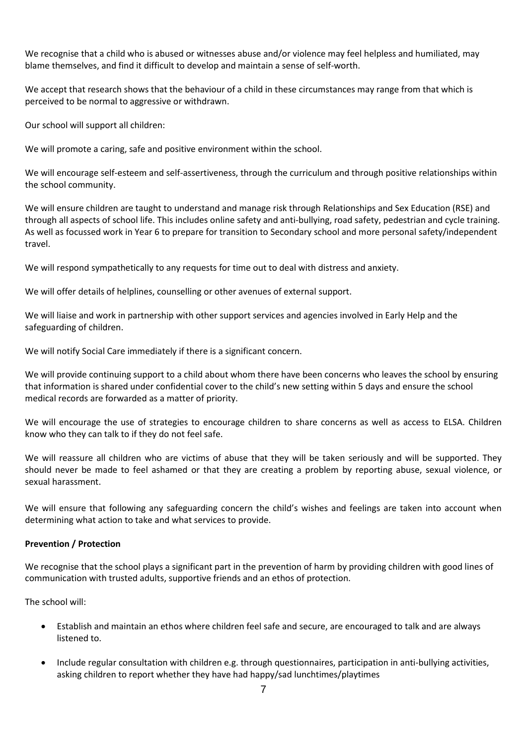We recognise that a child who is abused or witnesses abuse and/or violence may feel helpless and humiliated, may blame themselves, and find it difficult to develop and maintain a sense of self-worth.

We accept that research shows that the behaviour of a child in these circumstances may range from that which is perceived to be normal to aggressive or withdrawn.

Our school will support all children:

We will promote a caring, safe and positive environment within the school.

We will encourage self-esteem and self-assertiveness, through the curriculum and through positive relationships within the school community.

We will ensure children are taught to understand and manage risk through Relationships and Sex Education (RSE) and through all aspects of school life. This includes online safety and anti-bullying, road safety, pedestrian and cycle training. As well as focussed work in Year 6 to prepare for transition to Secondary school and more personal safety/independent travel.

We will respond sympathetically to any requests for time out to deal with distress and anxiety.

We will offer details of helplines, counselling or other avenues of external support.

We will liaise and work in partnership with other support services and agencies involved in Early Help and the safeguarding of children.

We will notify Social Care immediately if there is a significant concern.

We will provide continuing support to a child about whom there have been concerns who leaves the school by ensuring that information is shared under confidential cover to the child's new setting within 5 days and ensure the school medical records are forwarded as a matter of priority.

We will encourage the use of strategies to encourage children to share concerns as well as access to ELSA. Children know who they can talk to if they do not feel safe.

We will reassure all children who are victims of abuse that they will be taken seriously and will be supported. They should never be made to feel ashamed or that they are creating a problem by reporting abuse, sexual violence, or sexual harassment.

We will ensure that following any safeguarding concern the child's wishes and feelings are taken into account when determining what action to take and what services to provide.

#### **Prevention / Protection**

We recognise that the school plays a significant part in the prevention of harm by providing children with good lines of communication with trusted adults, supportive friends and an ethos of protection.

The school will:

- Establish and maintain an ethos where children feel safe and secure, are encouraged to talk and are always listened to.
- Include regular consultation with children e.g. through questionnaires, participation in anti-bullying activities, asking children to report whether they have had happy/sad lunchtimes/playtimes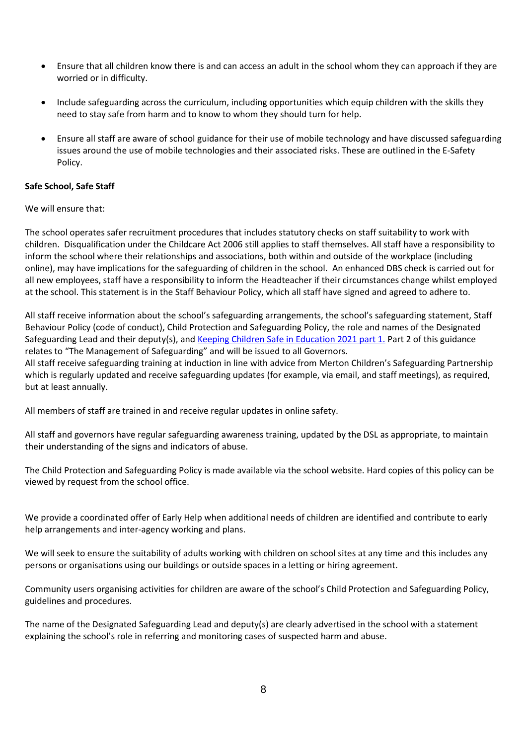- Ensure that all children know there is and can access an adult in the school whom they can approach if they are worried or in difficulty.
- Include safeguarding across the curriculum, including opportunities which equip children with the skills they need to stay safe from harm and to know to whom they should turn for help.
- Ensure all staff are aware of school guidance for their use of mobile technology and have discussed safeguarding issues around the use of mobile technologies and their associated risks. These are outlined in the E-Safety Policy.

## **Safe School, Safe Staff**

We will ensure that:

The school operates safer recruitment procedures that includes statutory checks on staff suitability to work with children. Disqualification under the Childcare Act 2006 still applies to staff themselves. All staff have a responsibility to inform the school where their relationships and associations, both within and outside of the workplace (including online), may have implications for the safeguarding of children in the school. An enhanced DBS check is carried out for all new employees, staff have a responsibility to inform the Headteacher if their circumstances change whilst employed at the school. This statement is in the Staff Behaviour Policy, which all staff have signed and agreed to adhere to.

All staff receive information about the school's safeguarding arrangements, the school's safeguarding statement, Staff Behaviour Policy (code of conduct), Child Protection and Safeguarding Policy, the role and names of the Designated Safeguarding Lead and their deputy(s), and [Keeping Children Safe in Education 2021 part 1.](https://assets.publishing.service.gov.uk/government/uploads/system/uploads/attachment_data/file/999348/Keeping_children_safe_in_education_2021.pdf) Part 2 of this guidance relates to "The Management of Safeguarding" and will be issued to all Governors.

All staff receive safeguarding training at induction in line with advice from Merton Children's Safeguarding Partnership which is regularly updated and receive safeguarding updates (for example, via email, and staff meetings), as required, but at least annually.

All members of staff are trained in and receive regular updates in online safety.

All staff and governors have regular safeguarding awareness training, updated by the DSL as appropriate, to maintain their understanding of the signs and indicators of abuse.

The Child Protection and Safeguarding Policy is made available via the school website. Hard copies of this policy can be viewed by request from the school office.

We provide a coordinated offer of Early Help when additional needs of children are identified and contribute to early help arrangements and inter-agency working and plans.

We will seek to ensure the suitability of adults working with children on school sites at any time and this includes any persons or organisations using our buildings or outside spaces in a letting or hiring agreement.

Community users organising activities for children are aware of the school's Child Protection and Safeguarding Policy, guidelines and procedures.

The name of the Designated Safeguarding Lead and deputy(s) are clearly advertised in the school with a statement explaining the school's role in referring and monitoring cases of suspected harm and abuse.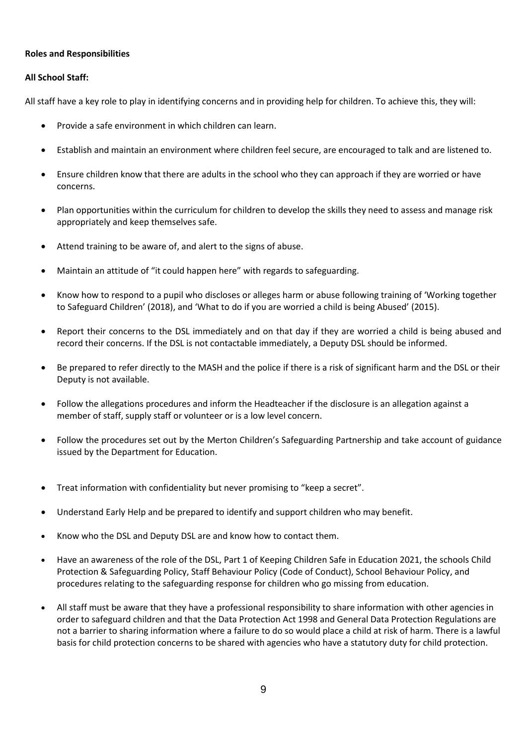#### **Roles and Responsibilities**

#### **All School Staff:**

All staff have a key role to play in identifying concerns and in providing help for children. To achieve this, they will:

- Provide a safe environment in which children can learn.
- Establish and maintain an environment where children feel secure, are encouraged to talk and are listened to.
- Ensure children know that there are adults in the school who they can approach if they are worried or have concerns.
- Plan opportunities within the curriculum for children to develop the skills they need to assess and manage risk appropriately and keep themselves safe.
- Attend training to be aware of, and alert to the signs of abuse.
- Maintain an attitude of "it could happen here" with regards to safeguarding.
- Know how to respond to a pupil who discloses or alleges harm or abuse following training of 'Working together to Safeguard Children' (2018), and 'What to do if you are worried a child is being Abused' (2015).
- Report their concerns to the DSL immediately and on that day if they are worried a child is being abused and record their concerns. If the DSL is not contactable immediately, a Deputy DSL should be informed.
- Be prepared to refer directly to the MASH and the police if there is a risk of significant harm and the DSL or their Deputy is not available.
- Follow the allegations procedures and inform the Headteacher if the disclosure is an allegation against a member of staff, supply staff or volunteer or is a low level concern.
- Follow the procedures set out by the Merton Children's Safeguarding Partnership and take account of guidance issued by the Department for Education.
- Treat information with confidentiality but never promising to "keep a secret".
- Understand Early Help and be prepared to identify and support children who may benefit.
- Know who the DSL and Deputy DSL are and know how to contact them.
- Have an awareness of the role of the DSL, Part 1 of Keeping Children Safe in Education 2021, the schools Child Protection & Safeguarding Policy, Staff Behaviour Policy (Code of Conduct), School Behaviour Policy, and procedures relating to the safeguarding response for children who go missing from education.
- All staff must be aware that they have a professional responsibility to share information with other agencies in order to safeguard children and that the Data Protection Act 1998 and General Data Protection Regulations are not a barrier to sharing information where a failure to do so would place a child at risk of harm. There is a lawful basis for child protection concerns to be shared with agencies who have a statutory duty for child protection.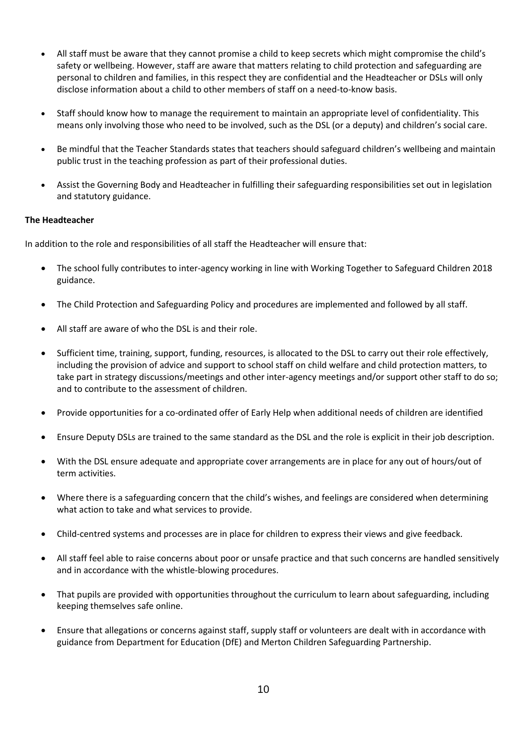- All staff must be aware that they cannot promise a child to keep secrets which might compromise the child's safety or wellbeing. However, staff are aware that matters relating to child protection and safeguarding are personal to children and families, in this respect they are confidential and the Headteacher or DSLs will only disclose information about a child to other members of staff on a need-to-know basis.
- Staff should know how to manage the requirement to maintain an appropriate level of confidentiality. This means only involving those who need to be involved, such as the DSL (or a deputy) and children's social care.
- Be mindful that the Teacher Standards states that teachers should safeguard children's wellbeing and maintain public trust in the teaching profession as part of their professional duties.
- Assist the Governing Body and Headteacher in fulfilling their safeguarding responsibilities set out in legislation and statutory guidance.

## **The Headteacher**

In addition to the role and responsibilities of all staff the Headteacher will ensure that:

- The school fully contributes to inter-agency working in line with Working Together to Safeguard Children 2018 guidance.
- The Child Protection and Safeguarding Policy and procedures are implemented and followed by all staff.
- All staff are aware of who the DSL is and their role.
- Sufficient time, training, support, funding, resources, is allocated to the DSL to carry out their role effectively, including the provision of advice and support to school staff on child welfare and child protection matters, to take part in strategy discussions/meetings and other inter-agency meetings and/or support other staff to do so; and to contribute to the assessment of children.
- Provide opportunities for a co-ordinated offer of Early Help when additional needs of children are identified
- Ensure Deputy DSLs are trained to the same standard as the DSL and the role is explicit in their job description.
- With the DSL ensure adequate and appropriate cover arrangements are in place for any out of hours/out of term activities.
- Where there is a safeguarding concern that the child's wishes, and feelings are considered when determining what action to take and what services to provide.
- Child-centred systems and processes are in place for children to express their views and give feedback.
- All staff feel able to raise concerns about poor or unsafe practice and that such concerns are handled sensitively and in accordance with the whistle-blowing procedures.
- That pupils are provided with opportunities throughout the curriculum to learn about safeguarding, including keeping themselves safe online.
- Ensure that allegations or concerns against staff, supply staff or volunteers are dealt with in accordance with guidance from Department for Education (DfE) and Merton Children Safeguarding Partnership.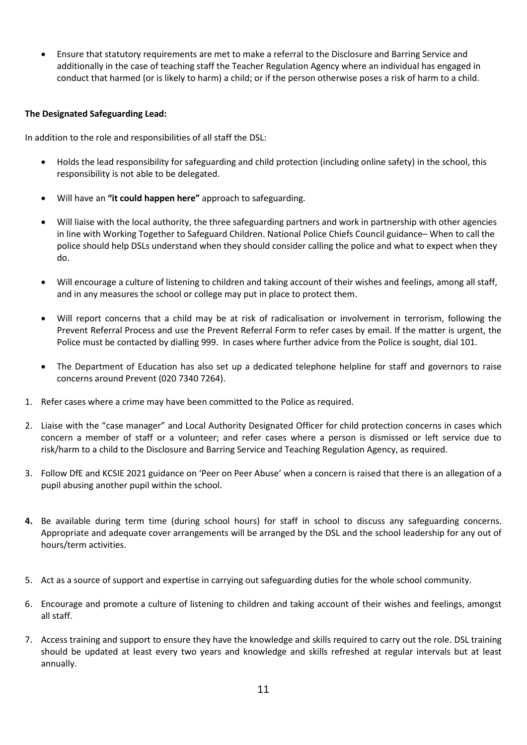• Ensure that statutory requirements are met to make a referral to the Disclosure and Barring Service and additionally in the case of teaching staff the Teacher Regulation Agency where an individual has engaged in conduct that harmed (or is likely to harm) a child; or if the person otherwise poses a risk of harm to a child.

## **The Designated Safeguarding Lead:**

In addition to the role and responsibilities of all staff the DSL:

- Holds the lead responsibility for safeguarding and child protection (including online safety) in the school, this responsibility is not able to be delegated.
- Will have an **"it could happen here"** approach to safeguarding.
- Will liaise with the local authority, the three safeguarding partners and work in partnership with other agencies in line with Working Together to Safeguard Children. National Police Chiefs Council guidance– When to call the police should help DSLs understand when they should consider calling the police and what to expect when they do.
- Will encourage a culture of listening to children and taking account of their wishes and feelings, among all staff, and in any measures the school or college may put in place to protect them.
- Will report concerns that a child may be at risk of radicalisation or involvement in terrorism, following the Prevent Referral Process and use the Prevent Referral Form to refer cases by email. If the matter is urgent, the Police must be contacted by dialling 999. In cases where further advice from the Police is sought, dial 101.
- The Department of Education has also set up a dedicated telephone helpline for staff and governors to raise concerns around Prevent (020 7340 7264).
- 1. Refer cases where a crime may have been committed to the Police as required.
- 2. Liaise with the "case manager" and Local Authority Designated Officer for child protection concerns in cases which concern a member of staff or a volunteer; and refer cases where a person is dismissed or left service due to risk/harm to a child to the Disclosure and Barring Service and Teaching Regulation Agency, as required.
- 3. Follow DfE and KCSIE 2021 guidance on 'Peer on Peer Abuse' when a concern is raised that there is an allegation of a pupil abusing another pupil within the school.
- **4.** Be available during term time (during school hours) for staff in school to discuss any safeguarding concerns. Appropriate and adequate cover arrangements will be arranged by the DSL and the school leadership for any out of hours/term activities.
- 5. Act as a source of support and expertise in carrying out safeguarding duties for the whole school community.
- 6. Encourage and promote a culture of listening to children and taking account of their wishes and feelings, amongst all staff.
- 7. Access training and support to ensure they have the knowledge and skills required to carry out the role. DSL training should be updated at least every two years and knowledge and skills refreshed at regular intervals but at least annually.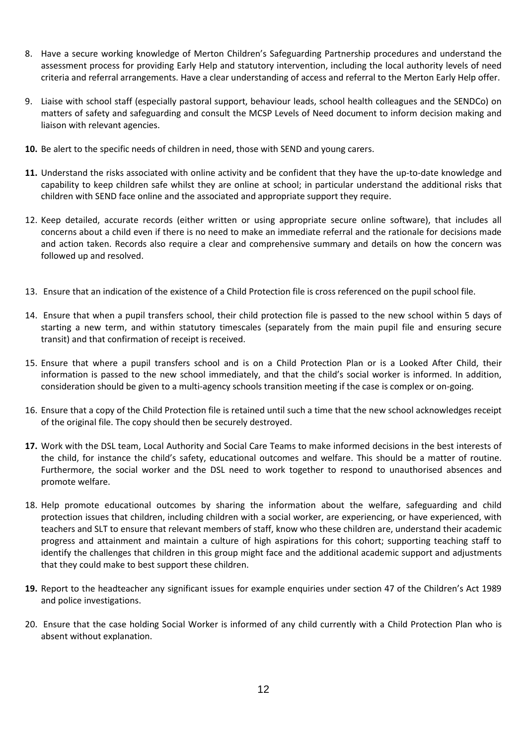- 8. Have a secure working knowledge of Merton Children's Safeguarding Partnership procedures and understand the assessment process for providing Early Help and statutory intervention, including the local authority levels of need criteria and referral arrangements. Have a clear understanding of access and referral to the Merton Early Help offer.
- 9. Liaise with school staff (especially pastoral support, behaviour leads, school health colleagues and the SENDCo) on matters of safety and safeguarding and consult the MCSP Levels of Need document to inform decision making and liaison with relevant agencies.
- **10.** Be alert to the specific needs of children in need, those with SEND and young carers.
- **11.** Understand the risks associated with online activity and be confident that they have the up-to-date knowledge and capability to keep children safe whilst they are online at school; in particular understand the additional risks that children with SEND face online and the associated and appropriate support they require.
- 12. Keep detailed, accurate records (either written or using appropriate secure online software), that includes all concerns about a child even if there is no need to make an immediate referral and the rationale for decisions made and action taken. Records also require a clear and comprehensive summary and details on how the concern was followed up and resolved.
- 13. Ensure that an indication of the existence of a Child Protection file is cross referenced on the pupil school file.
- 14. Ensure that when a pupil transfers school, their child protection file is passed to the new school within 5 days of starting a new term, and within statutory timescales (separately from the main pupil file and ensuring secure transit) and that confirmation of receipt is received.
- 15. Ensure that where a pupil transfers school and is on a Child Protection Plan or is a Looked After Child, their information is passed to the new school immediately, and that the child's social worker is informed. In addition, consideration should be given to a multi-agency schools transition meeting if the case is complex or on-going.
- 16. Ensure that a copy of the Child Protection file is retained until such a time that the new school acknowledges receipt of the original file. The copy should then be securely destroyed.
- **17.** Work with the DSL team, Local Authority and Social Care Teams to make informed decisions in the best interests of the child, for instance the child's safety, educational outcomes and welfare. This should be a matter of routine. Furthermore, the social worker and the DSL need to work together to respond to unauthorised absences and promote welfare.
- 18. Help promote educational outcomes by sharing the information about the welfare, safeguarding and child protection issues that children, including children with a social worker, are experiencing, or have experienced, with teachers and SLT to ensure that relevant members of staff, know who these children are, understand their academic progress and attainment and maintain a culture of high aspirations for this cohort; supporting teaching staff to identify the challenges that children in this group might face and the additional academic support and adjustments that they could make to best support these children.
- **19.** Report to the headteacher any significant issues for example enquiries under section 47 of the Children's Act 1989 and police investigations.
- 20. Ensure that the case holding Social Worker is informed of any child currently with a Child Protection Plan who is absent without explanation.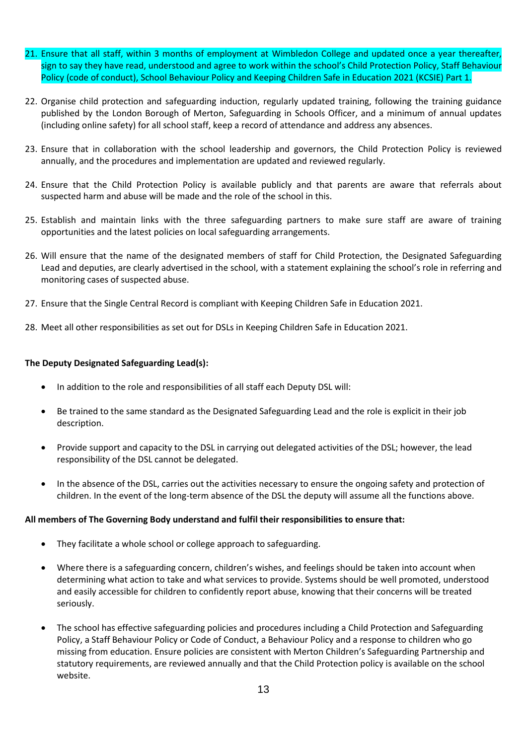- 21. Ensure that all staff, within 3 months of employment at Wimbledon College and updated once a year thereafter, sign to say they have read, understood and agree to work within the school's Child Protection Policy, Staff Behaviour Policy (code of conduct), School Behaviour Policy and Keeping Children Safe in Education 2021 (KCSIE) Part 1.
- 22. Organise child protection and safeguarding induction, regularly updated training, following the training guidance published by the London Borough of Merton, Safeguarding in Schools Officer, and a minimum of annual updates (including online safety) for all school staff, keep a record of attendance and address any absences.
- 23. Ensure that in collaboration with the school leadership and governors, the Child Protection Policy is reviewed annually, and the procedures and implementation are updated and reviewed regularly.
- 24. Ensure that the Child Protection Policy is available publicly and that parents are aware that referrals about suspected harm and abuse will be made and the role of the school in this.
- 25. Establish and maintain links with the three safeguarding partners to make sure staff are aware of training opportunities and the latest policies on local safeguarding arrangements.
- 26. Will ensure that the name of the designated members of staff for Child Protection, the Designated Safeguarding Lead and deputies, are clearly advertised in the school, with a statement explaining the school's role in referring and monitoring cases of suspected abuse.
- 27. Ensure that the Single Central Record is compliant with Keeping Children Safe in Education 2021.
- 28. Meet all other responsibilities as set out for DSLs in Keeping Children Safe in Education 2021.

#### **The Deputy Designated Safeguarding Lead(s):**

- In addition to the role and responsibilities of all staff each Deputy DSL will:
- Be trained to the same standard as the Designated Safeguarding Lead and the role is explicit in their job description.
- Provide support and capacity to the DSL in carrying out delegated activities of the DSL; however, the lead responsibility of the DSL cannot be delegated.
- In the absence of the DSL, carries out the activities necessary to ensure the ongoing safety and protection of children. In the event of the long-term absence of the DSL the deputy will assume all the functions above.

#### **All members of The Governing Body understand and fulfil their responsibilities to ensure that:**

- They facilitate a whole school or college approach to safeguarding.
- Where there is a safeguarding concern, children's wishes, and feelings should be taken into account when determining what action to take and what services to provide. Systems should be well promoted, understood and easily accessible for children to confidently report abuse, knowing that their concerns will be treated seriously.
- The school has effective safeguarding policies and procedures including a Child Protection and Safeguarding Policy, a Staff Behaviour Policy or Code of Conduct, a Behaviour Policy and a response to children who go missing from education. Ensure policies are consistent with Merton Children's Safeguarding Partnership and statutory requirements, are reviewed annually and that the Child Protection policy is available on the school website.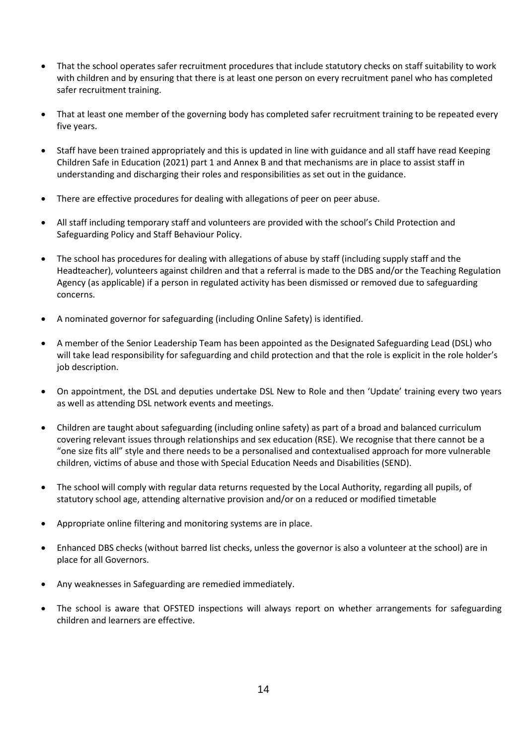- That the school operates safer recruitment procedures that include statutory checks on staff suitability to work with children and by ensuring that there is at least one person on every recruitment panel who has completed safer recruitment training.
- That at least one member of the governing body has completed safer recruitment training to be repeated every five years.
- Staff have been trained appropriately and this is updated in line with guidance and all staff have read Keeping Children Safe in Education (2021) part 1 and Annex B and that mechanisms are in place to assist staff in understanding and discharging their roles and responsibilities as set out in the guidance.
- There are effective procedures for dealing with allegations of peer on peer abuse.
- All staff including temporary staff and volunteers are provided with the school's Child Protection and Safeguarding Policy and Staff Behaviour Policy.
- The school has procedures for dealing with allegations of abuse by staff (including supply staff and the Headteacher), volunteers against children and that a referral is made to the DBS and/or the Teaching Regulation Agency (as applicable) if a person in regulated activity has been dismissed or removed due to safeguarding concerns.
- A nominated governor for safeguarding (including Online Safety) is identified.
- A member of the Senior Leadership Team has been appointed as the Designated Safeguarding Lead (DSL) who will take lead responsibility for safeguarding and child protection and that the role is explicit in the role holder's job description.
- On appointment, the DSL and deputies undertake DSL New to Role and then 'Update' training every two years as well as attending DSL network events and meetings.
- Children are taught about safeguarding (including online safety) as part of a broad and balanced curriculum covering relevant issues through relationships and sex education (RSE). We recognise that there cannot be a "one size fits all" style and there needs to be a personalised and contextualised approach for more vulnerable children, victims of abuse and those with Special Education Needs and Disabilities (SEND).
- The school will comply with regular data returns requested by the Local Authority, regarding all pupils, of statutory school age, attending alternative provision and/or on a reduced or modified timetable
- Appropriate online filtering and monitoring systems are in place.
- Enhanced DBS checks (without barred list checks, unless the governor is also a volunteer at the school) are in place for all Governors.
- Any weaknesses in Safeguarding are remedied immediately.
- The school is aware that OFSTED inspections will always report on whether arrangements for safeguarding children and learners are effective.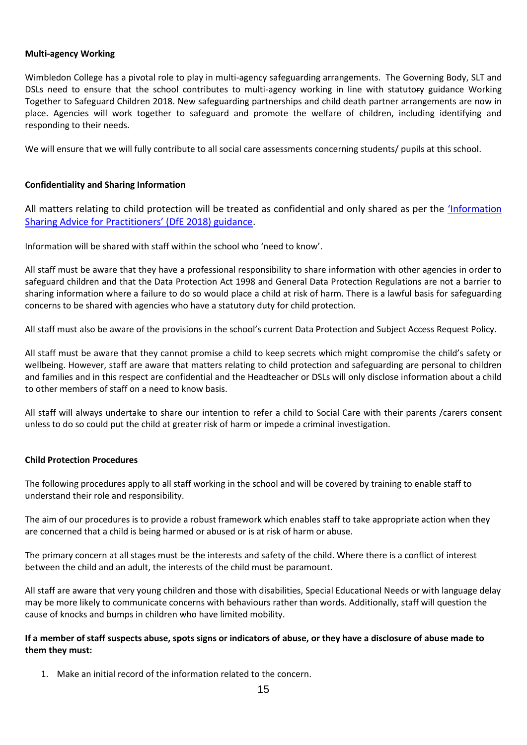#### **Multi-agency Working**

Wimbledon College has a pivotal role to play in multi-agency safeguarding arrangements. The Governing Body, SLT and DSLs need to ensure that the school contributes to multi-agency working in line with statutory guidance Working Together to Safeguard Children 2018. New safeguarding partnerships and child death partner arrangements are now in place. Agencies will work together to safeguard and promote the welfare of children, including identifying and responding to their needs.

We will ensure that we will fully contribute to all social care assessments concerning students/ pupils at this school.

## **Confidentiality and Sharing Information**

All matters relating to child protection will be treated as confidential and only shared as per the ['Information](https://www.gov.uk/government/publications/safeguarding-practitioners-information-sharing-advice)  [Sharing Advice for Practitioners' \(DfE 2018\) guidance](https://www.gov.uk/government/publications/safeguarding-practitioners-information-sharing-advice).

Information will be shared with staff within the school who 'need to know'.

All staff must be aware that they have a professional responsibility to share information with other agencies in order to safeguard children and that the Data Protection Act 1998 and General Data Protection Regulations are not a barrier to sharing information where a failure to do so would place a child at risk of harm. There is a lawful basis for safeguarding concerns to be shared with agencies who have a statutory duty for child protection.

All staff must also be aware of the provisions in the school's current Data Protection and Subject Access Request Policy.

All staff must be aware that they cannot promise a child to keep secrets which might compromise the child's safety or wellbeing. However, staff are aware that matters relating to child protection and safeguarding are personal to children and families and in this respect are confidential and the Headteacher or DSLs will only disclose information about a child to other members of staff on a need to know basis.

All staff will always undertake to share our intention to refer a child to Social Care with their parents /carers consent unless to do so could put the child at greater risk of harm or impede a criminal investigation.

#### **Child Protection Procedures**

The following procedures apply to all staff working in the school and will be covered by training to enable staff to understand their role and responsibility.

The aim of our procedures is to provide a robust framework which enables staff to take appropriate action when they are concerned that a child is being harmed or abused or is at risk of harm or abuse.

The primary concern at all stages must be the interests and safety of the child. Where there is a conflict of interest between the child and an adult, the interests of the child must be paramount.

All staff are aware that very young children and those with disabilities, Special Educational Needs or with language delay may be more likely to communicate concerns with behaviours rather than words. Additionally, staff will question the cause of knocks and bumps in children who have limited mobility.

## **If a member of staff suspects abuse, spots signs or indicators of abuse, or they have a disclosure of abuse made to them they must:**

1. Make an initial record of the information related to the concern.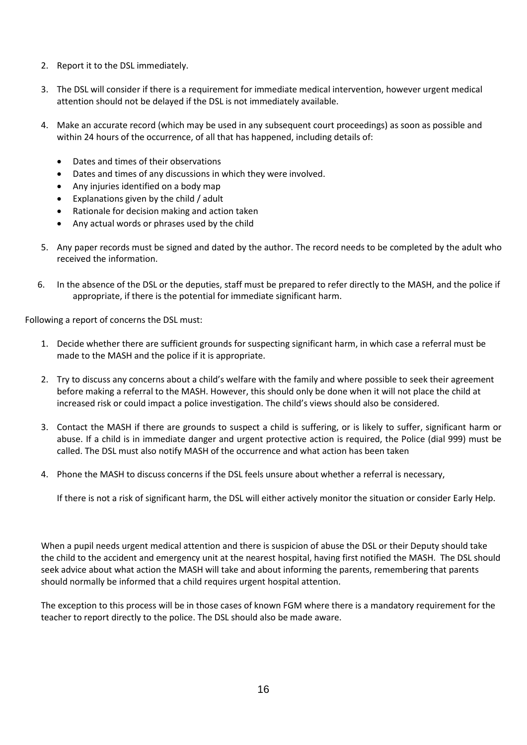- 2. Report it to the DSL immediately.
- 3. The DSL will consider if there is a requirement for immediate medical intervention, however urgent medical attention should not be delayed if the DSL is not immediately available.
- 4. Make an accurate record (which may be used in any subsequent court proceedings) as soon as possible and within 24 hours of the occurrence, of all that has happened, including details of:
	- Dates and times of their observations
	- Dates and times of any discussions in which they were involved.
	- Any injuries identified on a body map
	- Explanations given by the child / adult
	- Rationale for decision making and action taken
	- Any actual words or phrases used by the child
- 5. Any paper records must be signed and dated by the author. The record needs to be completed by the adult who received the information.
- 6. In the absence of the DSL or the deputies, staff must be prepared to refer directly to the MASH, and the police if appropriate, if there is the potential for immediate significant harm.

Following a report of concerns the DSL must:

- 1. Decide whether there are sufficient grounds for suspecting significant harm, in which case a referral must be made to the MASH and the police if it is appropriate.
- 2. Try to discuss any concerns about a child's welfare with the family and where possible to seek their agreement before making a referral to the MASH. However, this should only be done when it will not place the child at increased risk or could impact a police investigation. The child's views should also be considered.
- 3. Contact the MASH if there are grounds to suspect a child is suffering, or is likely to suffer, significant harm or abuse. If a child is in immediate danger and urgent protective action is required, the Police (dial 999) must be called. The DSL must also notify MASH of the occurrence and what action has been taken
- 4. Phone the MASH to discuss concerns if the DSL feels unsure about whether a referral is necessary,

If there is not a risk of significant harm, the DSL will either actively monitor the situation or consider Early Help.

When a pupil needs urgent medical attention and there is suspicion of abuse the DSL or their Deputy should take the child to the accident and emergency unit at the nearest hospital, having first notified the MASH. The DSL should seek advice about what action the MASH will take and about informing the parents, remembering that parents should normally be informed that a child requires urgent hospital attention.

The exception to this process will be in those cases of known FGM where there is a mandatory requirement for the teacher to report directly to the police. The DSL should also be made aware.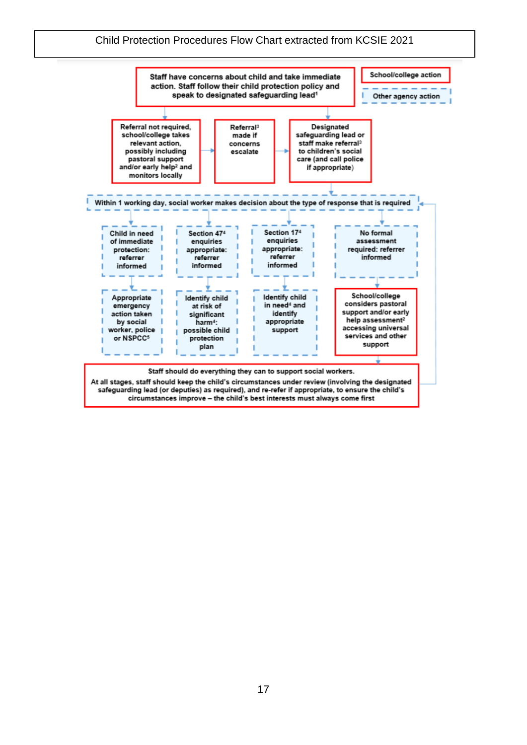## Child Protection Procedures Flow Chart extracted from KCSIE 2021

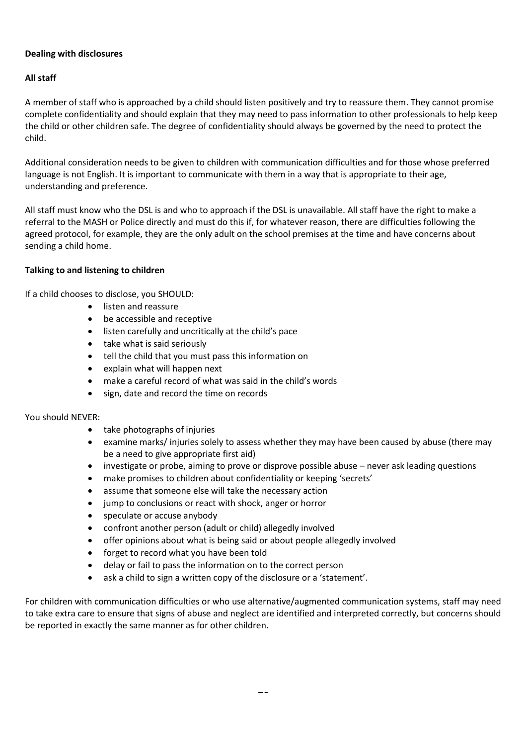## **Dealing with disclosures**

## **All staff**

A member of staff who is approached by a child should listen positively and try to reassure them. They cannot promise complete confidentiality and should explain that they may need to pass information to other professionals to help keep the child or other children safe. The degree of confidentiality should always be governed by the need to protect the child.

Additional consideration needs to be given to children with communication difficulties and for those whose preferred language is not English. It is important to communicate with them in a way that is appropriate to their age, understanding and preference.

All staff must know who the DSL is and who to approach if the DSL is unavailable. All staff have the right to make a referral to the MASH or Police directly and must do this if, for whatever reason, there are difficulties following the agreed protocol, for example, they are the only adult on the school premises at the time and have concerns about sending a child home.

#### **Talking to and listening to children**

If a child chooses to disclose, you SHOULD:

- listen and reassure
- be accessible and receptive
- listen carefully and uncritically at the child's pace
- take what is said seriously
- tell the child that you must pass this information on
- explain what will happen next
- make a careful record of what was said in the child's words
- sign, date and record the time on records

#### You should NEVER:

- take photographs of injuries
- examine marks/ injuries solely to assess whether they may have been caused by abuse (there may be a need to give appropriate first aid)
- investigate or probe, aiming to prove or disprove possible abuse never ask leading questions
- make promises to children about confidentiality or keeping 'secrets'
- assume that someone else will take the necessary action
- jump to conclusions or react with shock, anger or horror
- speculate or accuse anybody
- confront another person (adult or child) allegedly involved
- offer opinions about what is being said or about people allegedly involved
- forget to record what you have been told
- delay or fail to pass the information on to the correct person
- ask a child to sign a written copy of the disclosure or a 'statement'.

For children with communication difficulties or who use alternative/augmented communication systems, staff may need to take extra care to ensure that signs of abuse and neglect are identified and interpreted correctly, but concerns should be reported in exactly the same manner as for other children.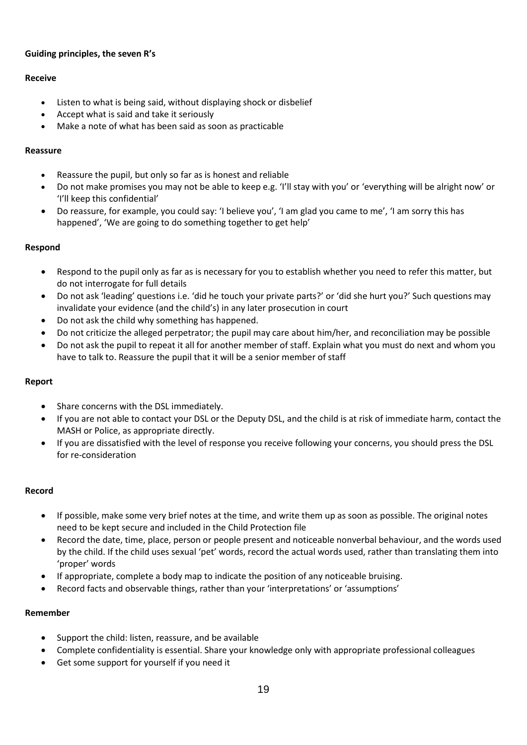## **Guiding principles, the seven R's**

## **Receive**

- Listen to what is being said, without displaying shock or disbelief
- Accept what is said and take it seriously
- Make a note of what has been said as soon as practicable

## **Reassure**

- Reassure the pupil, but only so far as is honest and reliable
- Do not make promises you may not be able to keep e.g. 'I'll stay with you' or 'everything will be alright now' or 'I'll keep this confidential'
- Do reassure, for example, you could say: 'I believe you', 'I am glad you came to me', 'I am sorry this has happened', 'We are going to do something together to get help'

## **Respond**

- Respond to the pupil only as far as is necessary for you to establish whether you need to refer this matter, but do not interrogate for full details
- Do not ask 'leading' questions i.e. 'did he touch your private parts?' or 'did she hurt you?' Such questions may invalidate your evidence (and the child's) in any later prosecution in court
- Do not ask the child why something has happened.
- Do not criticize the alleged perpetrator; the pupil may care about him/her, and reconciliation may be possible
- Do not ask the pupil to repeat it all for another member of staff. Explain what you must do next and whom you have to talk to. Reassure the pupil that it will be a senior member of staff

## **Report**

- Share concerns with the DSL immediately.
- If you are not able to contact your DSL or the Deputy DSL, and the child is at risk of immediate harm, contact the MASH or Police, as appropriate directly.
- If you are dissatisfied with the level of response you receive following your concerns, you should press the DSL for re-consideration

## **Record**

- If possible, make some very brief notes at the time, and write them up as soon as possible. The original notes need to be kept secure and included in the Child Protection file
- Record the date, time, place, person or people present and noticeable nonverbal behaviour, and the words used by the child. If the child uses sexual 'pet' words, record the actual words used, rather than translating them into 'proper' words
- If appropriate, complete a body map to indicate the position of any noticeable bruising.
- Record facts and observable things, rather than your 'interpretations' or 'assumptions'

## **Remember**

- Support the child: listen, reassure, and be available
- Complete confidentiality is essential. Share your knowledge only with appropriate professional colleagues
- Get some support for yourself if you need it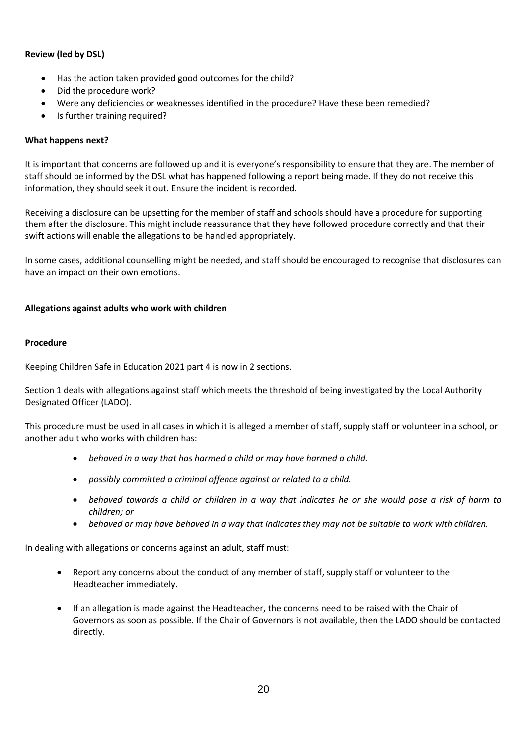## **Review (led by DSL)**

- Has the action taken provided good outcomes for the child?
- Did the procedure work?
- Were any deficiencies or weaknesses identified in the procedure? Have these been remedied?
- Is further training required?

## **What happens next?**

It is important that concerns are followed up and it is everyone's responsibility to ensure that they are. The member of staff should be informed by the DSL what has happened following a report being made. If they do not receive this information, they should seek it out. Ensure the incident is recorded.

Receiving a disclosure can be upsetting for the member of staff and schools should have a procedure for supporting them after the disclosure. This might include reassurance that they have followed procedure correctly and that their swift actions will enable the allegations to be handled appropriately.

In some cases, additional counselling might be needed, and staff should be encouraged to recognise that disclosures can have an impact on their own emotions.

## **Allegations against adults who work with children**

## **Procedure**

Keeping Children Safe in Education 2021 part 4 is now in 2 sections.

Section 1 deals with allegations against staff which meets the threshold of being investigated by the Local Authority Designated Officer (LADO).

This procedure must be used in all cases in which it is alleged a member of staff, supply staff or volunteer in a school, or another adult who works with children has:

- *behaved in a way that has harmed a child or may have harmed a child.*
- *possibly committed a criminal offence against or related to a child.*
- *behaved towards a child or children in a way that indicates he or she would pose a risk of harm to children; or*
- *behaved or may have behaved in a way that indicates they may not be suitable to work with children.*

In dealing with allegations or concerns against an adult, staff must:

- Report any concerns about the conduct of any member of staff, supply staff or volunteer to the Headteacher immediately.
- If an allegation is made against the Headteacher, the concerns need to be raised with the Chair of Governors as soon as possible. If the Chair of Governors is not available, then the LADO should be contacted directly.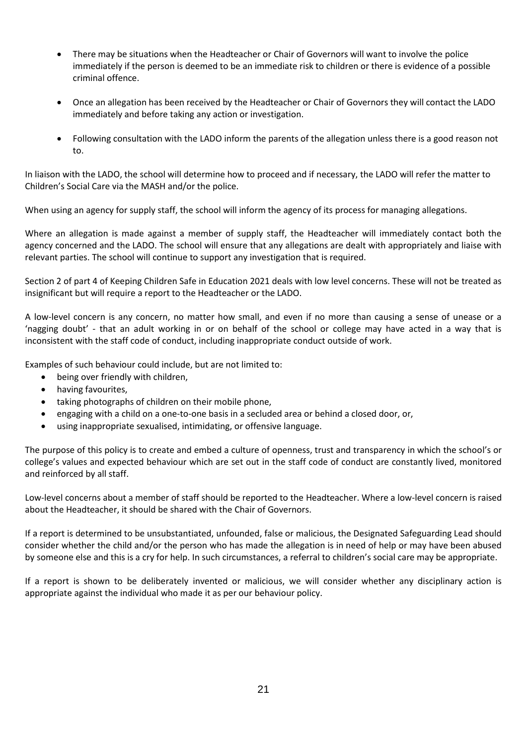- There may be situations when the Headteacher or Chair of Governors will want to involve the police immediately if the person is deemed to be an immediate risk to children or there is evidence of a possible criminal offence.
- Once an allegation has been received by the Headteacher or Chair of Governors they will contact the LADO immediately and before taking any action or investigation.
- Following consultation with the LADO inform the parents of the allegation unless there is a good reason not to.

In liaison with the LADO, the school will determine how to proceed and if necessary, the LADO will refer the matter to Children's Social Care via the MASH and/or the police.

When using an agency for supply staff, the school will inform the agency of its process for managing allegations.

Where an allegation is made against a member of supply staff, the Headteacher will immediately contact both the agency concerned and the LADO. The school will ensure that any allegations are dealt with appropriately and liaise with relevant parties. The school will continue to support any investigation that is required.

Section 2 of part 4 of Keeping Children Safe in Education 2021 deals with low level concerns. These will not be treated as insignificant but will require a report to the Headteacher or the LADO.

A low-level concern is any concern, no matter how small, and even if no more than causing a sense of unease or a 'nagging doubt' - that an adult working in or on behalf of the school or college may have acted in a way that is inconsistent with the staff code of conduct, including inappropriate conduct outside of work.

Examples of such behaviour could include, but are not limited to:

- being over friendly with children,
- having favourites,
- taking photographs of children on their mobile phone,
- engaging with a child on a one-to-one basis in a secluded area or behind a closed door, or,
- using inappropriate sexualised, intimidating, or offensive language.

The purpose of this policy is to create and embed a culture of openness, trust and transparency in which the school's or college's values and expected behaviour which are set out in the staff code of conduct are constantly lived, monitored and reinforced by all staff.

Low-level concerns about a member of staff should be reported to the Headteacher. Where a low-level concern is raised about the Headteacher, it should be shared with the Chair of Governors.

If a report is determined to be unsubstantiated, unfounded, false or malicious, the Designated Safeguarding Lead should consider whether the child and/or the person who has made the allegation is in need of help or may have been abused by someone else and this is a cry for help. In such circumstances, a referral to children's social care may be appropriate.

If a report is shown to be deliberately invented or malicious, we will consider whether any disciplinary action is appropriate against the individual who made it as per our behaviour policy.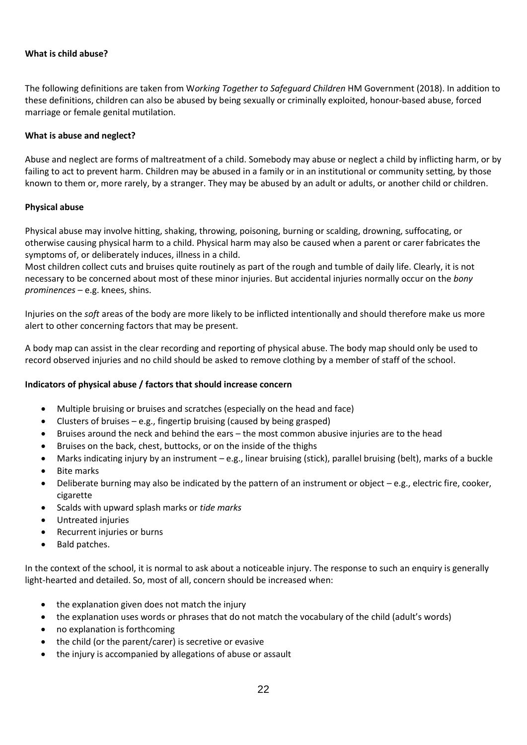## **What is child abuse?**

The following definitions are taken from W*orking Together to Safeguard Children* HM Government (2018). In addition to these definitions, children can also be abused by being sexually or criminally exploited, honour-based abuse, forced marriage or female genital mutilation.

#### **What is abuse and neglect?**

Abuse and neglect are forms of maltreatment of a child. Somebody may abuse or neglect a child by inflicting harm, or by failing to act to prevent harm. Children may be abused in a family or in an institutional or community setting, by those known to them or, more rarely, by a stranger. They may be abused by an adult or adults, or another child or children.

#### **Physical abuse**

Physical abuse may involve hitting, shaking, throwing, poisoning, burning or scalding, drowning, suffocating, or otherwise causing physical harm to a child. Physical harm may also be caused when a parent or carer fabricates the symptoms of, or deliberately induces, illness in a child.

Most children collect cuts and bruises quite routinely as part of the rough and tumble of daily life. Clearly, it is not necessary to be concerned about most of these minor injuries. But accidental injuries normally occur on the *bony prominences* – e.g. knees, shins.

Injuries on the *soft* areas of the body are more likely to be inflicted intentionally and should therefore make us more alert to other concerning factors that may be present.

A body map can assist in the clear recording and reporting of physical abuse. The body map should only be used to record observed injuries and no child should be asked to remove clothing by a member of staff of the school.

## **Indicators of physical abuse / factors that should increase concern**

- Multiple bruising or bruises and scratches (especially on the head and face)
- Clusters of bruises e.g., fingertip bruising (caused by being grasped)
- Bruises around the neck and behind the ears the most common abusive injuries are to the head
- Bruises on the back, chest, buttocks, or on the inside of the thighs
- Marks indicating injury by an instrument e.g., linear bruising (stick), parallel bruising (belt), marks of a buckle
- Bite marks
- Deliberate burning may also be indicated by the pattern of an instrument or object e.g., electric fire, cooker, cigarette
- Scalds with upward splash marks or *tide marks*
- Untreated injuries
- Recurrent injuries or burns
- Bald patches.

In the context of the school, it is normal to ask about a noticeable injury. The response to such an enquiry is generally light-hearted and detailed. So, most of all, concern should be increased when:

- the explanation given does not match the injury
- the explanation uses words or phrases that do not match the vocabulary of the child (adult's words)
- no explanation is forthcoming
- the child (or the parent/carer) is secretive or evasive
- the injury is accompanied by allegations of abuse or assault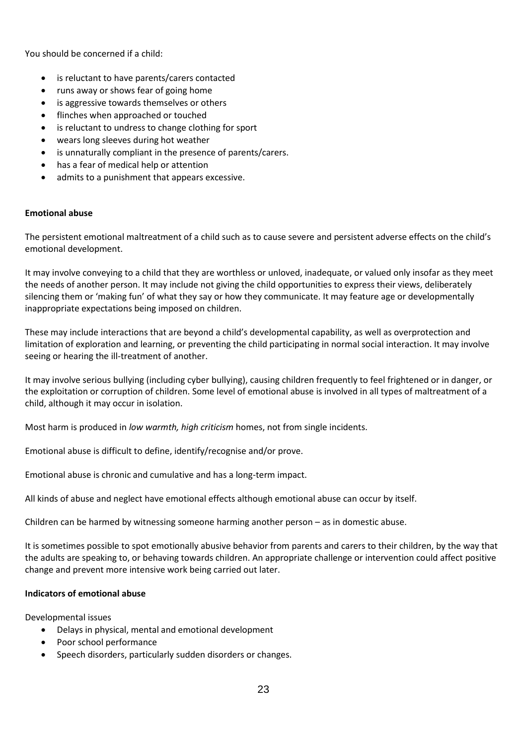You should be concerned if a child:

- is reluctant to have parents/carers contacted
- runs away or shows fear of going home
- is aggressive towards themselves or others
- flinches when approached or touched
- is reluctant to undress to change clothing for sport
- wears long sleeves during hot weather
- is unnaturally compliant in the presence of parents/carers.
- has a fear of medical help or attention
- admits to a punishment that appears excessive.

#### **Emotional abuse**

The persistent emotional maltreatment of a child such as to cause severe and persistent adverse effects on the child's emotional development.

It may involve conveying to a child that they are worthless or unloved, inadequate, or valued only insofar as they meet the needs of another person. It may include not giving the child opportunities to express their views, deliberately silencing them or 'making fun' of what they say or how they communicate. It may feature age or developmentally inappropriate expectations being imposed on children.

These may include interactions that are beyond a child's developmental capability, as well as overprotection and limitation of exploration and learning, or preventing the child participating in normal social interaction. It may involve seeing or hearing the ill-treatment of another.

It may involve serious bullying (including cyber bullying), causing children frequently to feel frightened or in danger, or the exploitation or corruption of children. Some level of emotional abuse is involved in all types of maltreatment of a child, although it may occur in isolation.

Most harm is produced in *low warmth, high criticism* homes, not from single incidents.

Emotional abuse is difficult to define, identify/recognise and/or prove.

Emotional abuse is chronic and cumulative and has a long-term impact.

All kinds of abuse and neglect have emotional effects although emotional abuse can occur by itself.

Children can be harmed by witnessing someone harming another person – as in domestic abuse.

It is sometimes possible to spot emotionally abusive behavior from parents and carers to their children, by the way that the adults are speaking to, or behaving towards children. An appropriate challenge or intervention could affect positive change and prevent more intensive work being carried out later.

#### **Indicators of emotional abuse**

Developmental issues

- Delays in physical, mental and emotional development
- Poor school performance
- Speech disorders, particularly sudden disorders or changes.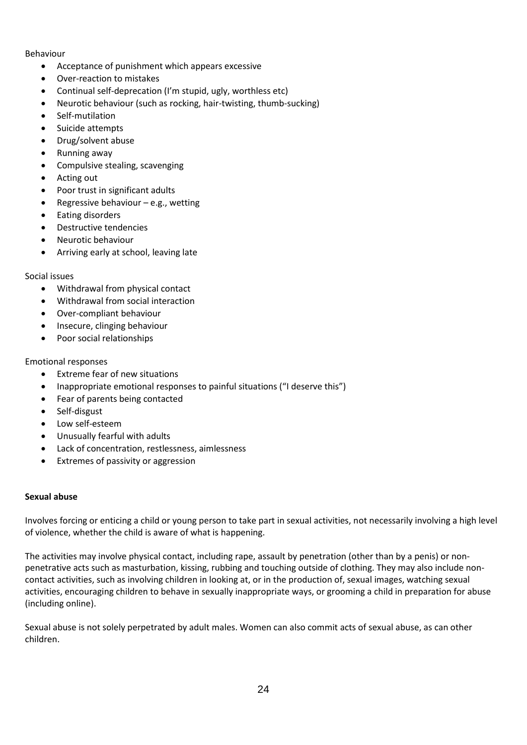#### Behaviour

- Acceptance of punishment which appears excessive
- Over-reaction to mistakes
- Continual self-deprecation (I'm stupid, ugly, worthless etc)
- Neurotic behaviour (such as rocking, hair-twisting, thumb-sucking)
- Self-mutilation
- Suicide attempts
- Drug/solvent abuse
- Running away
- Compulsive stealing, scavenging
- Acting out
- Poor trust in significant adults
- Regressive behaviour  $-e.g.,$  wetting
- Eating disorders
- Destructive tendencies
- Neurotic behaviour
- Arriving early at school, leaving late
- Social issues
	- Withdrawal from physical contact
	- Withdrawal from social interaction
	- Over-compliant behaviour
	- Insecure, clinging behaviour
	- Poor social relationships

#### Emotional responses

- Extreme fear of new situations
- Inappropriate emotional responses to painful situations ("I deserve this")
- Fear of parents being contacted
- Self-disgust
- Low self-esteem
- Unusually fearful with adults
- Lack of concentration, restlessness, aimlessness
- Extremes of passivity or aggression

#### **Sexual abuse**

Involves forcing or enticing a child or young person to take part in sexual activities, not necessarily involving a high level of violence, whether the child is aware of what is happening.

The activities may involve physical contact, including rape, assault by penetration (other than by a penis) or nonpenetrative acts such as masturbation, kissing, rubbing and touching outside of clothing. They may also include noncontact activities, such as involving children in looking at, or in the production of, sexual images, watching sexual activities, encouraging children to behave in sexually inappropriate ways, or grooming a child in preparation for abuse (including online).

Sexual abuse is not solely perpetrated by adult males. Women can also commit acts of sexual abuse, as can other children.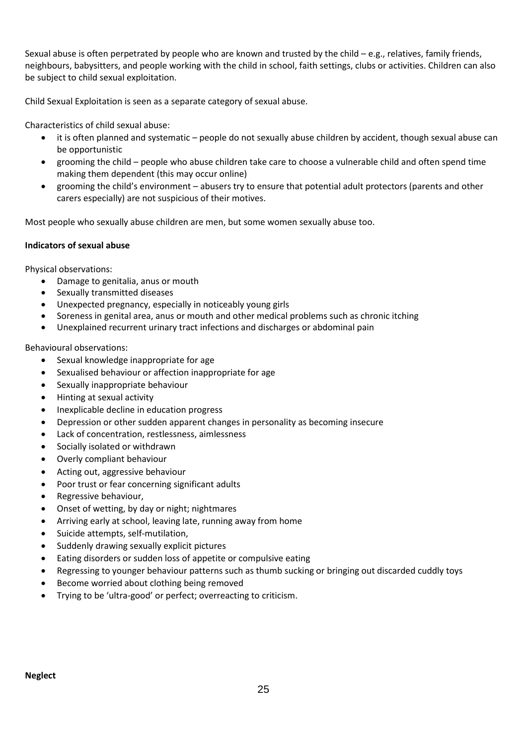Sexual abuse is often perpetrated by people who are known and trusted by the child  $-e.g.,$  relatives, family friends, neighbours, babysitters, and people working with the child in school, faith settings, clubs or activities. Children can also be subject to child sexual exploitation.

Child Sexual Exploitation is seen as a separate category of sexual abuse.

Characteristics of child sexual abuse:

- it is often planned and systematic people do not sexually abuse children by accident, though sexual abuse can be opportunistic
- grooming the child people who abuse children take care to choose a vulnerable child and often spend time making them dependent (this may occur online)
- grooming the child's environment abusers try to ensure that potential adult protectors (parents and other carers especially) are not suspicious of their motives.

Most people who sexually abuse children are men, but some women sexually abuse too.

## **Indicators of sexual abuse**

Physical observations:

- Damage to genitalia, anus or mouth
- Sexually transmitted diseases
- Unexpected pregnancy, especially in noticeably young girls
- Soreness in genital area, anus or mouth and other medical problems such as chronic itching
- Unexplained recurrent urinary tract infections and discharges or abdominal pain

Behavioural observations:

- Sexual knowledge inappropriate for age
- Sexualised behaviour or affection inappropriate for age
- Sexually inappropriate behaviour
- Hinting at sexual activity
- Inexplicable decline in education progress
- Depression or other sudden apparent changes in personality as becoming insecure
- Lack of concentration, restlessness, aimlessness
- Socially isolated or withdrawn
- Overly compliant behaviour
- Acting out, aggressive behaviour
- Poor trust or fear concerning significant adults
- Regressive behaviour,
- Onset of wetting, by day or night; nightmares
- Arriving early at school, leaving late, running away from home
- Suicide attempts, self-mutilation,
- Suddenly drawing sexually explicit pictures
- Eating disorders or sudden loss of appetite or compulsive eating
- Regressing to younger behaviour patterns such as thumb sucking or bringing out discarded cuddly toys
- Become worried about clothing being removed
- Trying to be 'ultra-good' or perfect; overreacting to criticism.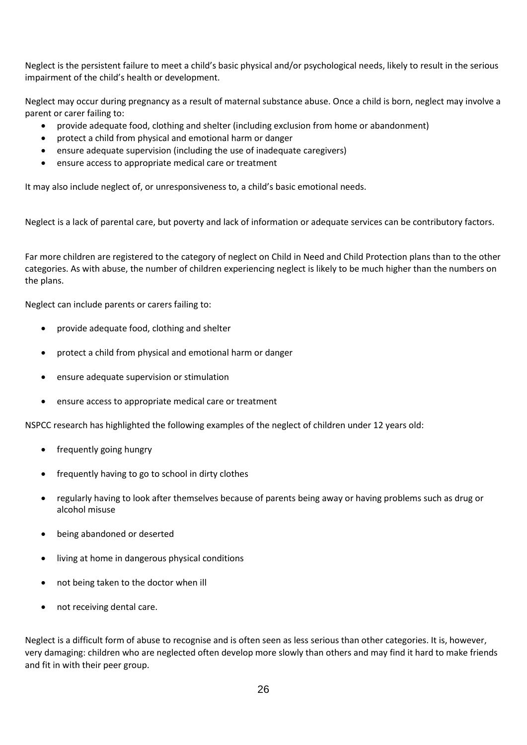Neglect is the persistent failure to meet a child's basic physical and/or psychological needs, likely to result in the serious impairment of the child's health or development.

Neglect may occur during pregnancy as a result of maternal substance abuse. Once a child is born, neglect may involve a parent or carer failing to:

- provide adequate food, clothing and shelter (including exclusion from home or abandonment)
- protect a child from physical and emotional harm or danger
- ensure adequate supervision (including the use of inadequate caregivers)
- ensure access to appropriate medical care or treatment

It may also include neglect of, or unresponsiveness to, a child's basic emotional needs.

Neglect is a lack of parental care, but poverty and lack of information or adequate services can be contributory factors.

Far more children are registered to the category of neglect on Child in Need and Child Protection plans than to the other categories. As with abuse, the number of children experiencing neglect is likely to be much higher than the numbers on the plans.

Neglect can include parents or carers failing to:

- provide adequate food, clothing and shelter
- protect a child from physical and emotional harm or danger
- ensure adequate supervision or stimulation
- ensure access to appropriate medical care or treatment

NSPCC research has highlighted the following examples of the neglect of children under 12 years old:

- frequently going hungry
- frequently having to go to school in dirty clothes
- regularly having to look after themselves because of parents being away or having problems such as drug or alcohol misuse
- being abandoned or deserted
- living at home in dangerous physical conditions
- not being taken to the doctor when ill
- not receiving dental care.

Neglect is a difficult form of abuse to recognise and is often seen as less serious than other categories. It is, however, very damaging: children who are neglected often develop more slowly than others and may find it hard to make friends and fit in with their peer group.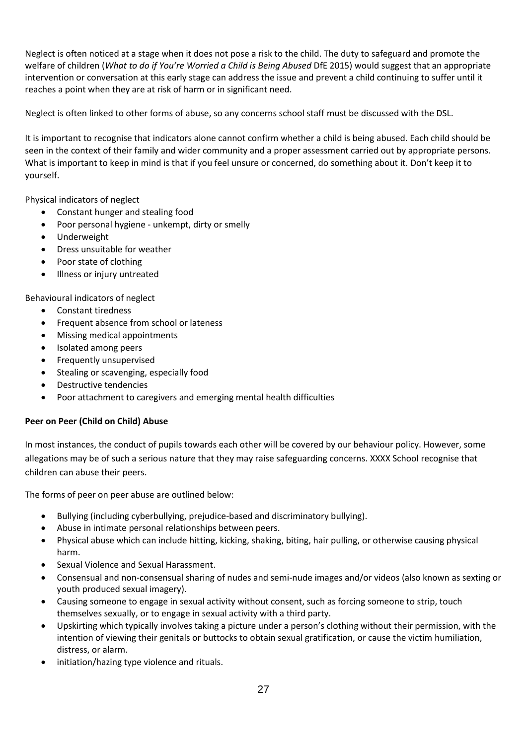Neglect is often noticed at a stage when it does not pose a risk to the child. The duty to safeguard and promote the welfare of children (*What to do if You're Worried a Child is Being Abused* DfE 2015) would suggest that an appropriate intervention or conversation at this early stage can address the issue and prevent a child continuing to suffer until it reaches a point when they are at risk of harm or in significant need.

Neglect is often linked to other forms of abuse, so any concerns school staff must be discussed with the DSL.

It is important to recognise that indicators alone cannot confirm whether a child is being abused. Each child should be seen in the context of their family and wider community and a proper assessment carried out by appropriate persons. What is important to keep in mind is that if you feel unsure or concerned, do something about it. Don't keep it to yourself.

Physical indicators of neglect

- Constant hunger and stealing food
- Poor personal hygiene unkempt, dirty or smelly
- Underweight
- Dress unsuitable for weather
- Poor state of clothing
- Illness or injury untreated

Behavioural indicators of neglect

- Constant tiredness
- Frequent absence from school or lateness
- Missing medical appointments
- Isolated among peers
- Frequently unsupervised
- Stealing or scavenging, especially food
- Destructive tendencies
- Poor attachment to caregivers and emerging mental health difficulties

## **Peer on Peer (Child on Child) Abuse**

In most instances, the conduct of pupils towards each other will be covered by our behaviour policy. However, some allegations may be of such a serious nature that they may raise safeguarding concerns. XXXX School recognise that children can abuse their peers.

The forms of peer on peer abuse are outlined below:

- Bullying (including cyberbullying, prejudice-based and discriminatory bullying).
- Abuse in intimate personal relationships between peers.
- Physical abuse which can include hitting, kicking, shaking, biting, hair pulling, or otherwise causing physical harm.
- Sexual Violence and Sexual Harassment.
- Consensual and non-consensual sharing of nudes and semi-nude images and/or videos (also known as sexting or youth produced sexual imagery).
- Causing someone to engage in sexual activity without consent, such as forcing someone to strip, touch themselves sexually, or to engage in sexual activity with a third party.
- Upskirting which typically involves taking a picture under a person's clothing without their permission, with the intention of viewing their genitals or buttocks to obtain sexual gratification, or cause the victim humiliation, distress, or alarm.
- initiation/hazing type violence and rituals.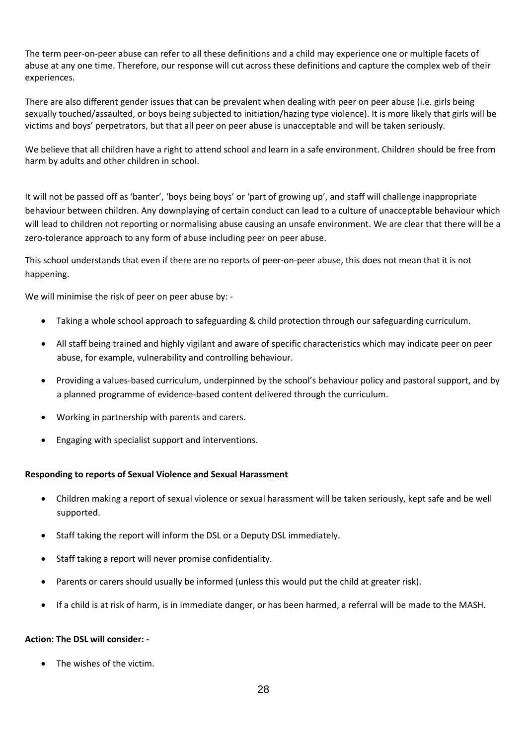The term peer-on-peer abuse can refer to all these definitions and a child may experience one or multiple facets of abuse at any one time. Therefore, our response will cut across these definitions and capture the complex web of their experiences.

There are also different gender issues that can be prevalent when dealing with peer on peer abuse (i.e. girls being sexually touched/assaulted, or boys being subjected to initiation/hazing type violence). It is more likely that girls will be victims and boys' perpetrators, but that all peer on peer abuse is unacceptable and will be taken seriously.

We believe that all children have a right to attend school and learn in a safe environment. Children should be free from harm by adults and other children in school.

It will not be passed off as 'banter', 'boys being boys' or 'part of growing up', and staff will challenge inappropriate behaviour between children. Any downplaying of certain conduct can lead to a culture of unacceptable behaviour which will lead to children not reporting or normalising abuse causing an unsafe environment. We are clear that there will be a zero-tolerance approach to any form of abuse including peer on peer abuse.

This school understands that even if there are no reports of peer-on-peer abuse, this does not mean that it is not happening.

We will minimise the risk of peer on peer abuse by: -

- Taking a whole school approach to safeguarding & child protection through our safeguarding curriculum.
- All staff being trained and highly vigilant and aware of specific characteristics which may indicate peer on peer abuse, for example, vulnerability and controlling behaviour.
- Providing a values-based curriculum, underpinned by the school's behaviour policy and pastoral support, and by a planned programme of evidence-based content delivered through the curriculum.
- Working in partnership with parents and carers.
- Engaging with specialist support and interventions.

#### **Responding to reports of Sexual Violence and Sexual Harassment**

- Children making a report of sexual violence or sexual harassment will be taken seriously, kept safe and be well supported.
- Staff taking the report will inform the DSL or a Deputy DSL immediately.
- Staff taking a report will never promise confidentiality.
- Parents or carers should usually be informed (unless this would put the child at greater risk).
- If a child is at risk of harm, is in immediate danger, or has been harmed, a referral will be made to the MASH.

#### **Action: The DSL will consider: -**

• The wishes of the victim.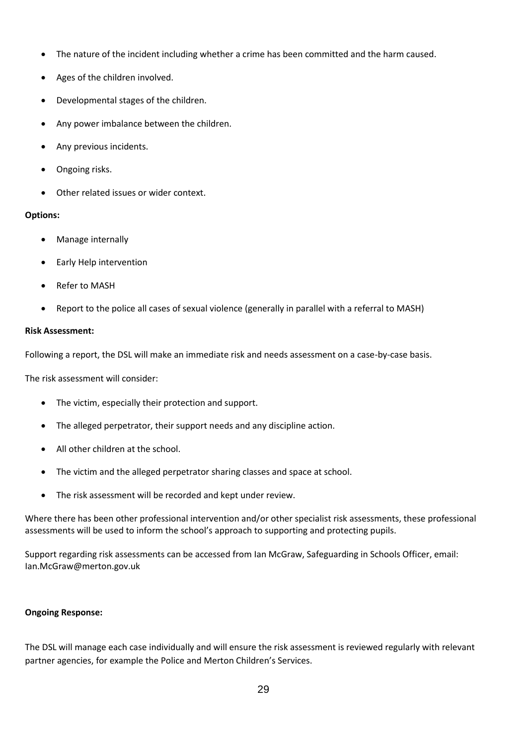- The nature of the incident including whether a crime has been committed and the harm caused.
- Ages of the children involved.
- Developmental stages of the children.
- Any power imbalance between the children.
- Any previous incidents.
- Ongoing risks.
- Other related issues or wider context.

#### **Options:**

- Manage internally
- Early Help intervention
- Refer to MASH
- Report to the police all cases of sexual violence (generally in parallel with a referral to MASH)

#### **Risk Assessment:**

Following a report, the DSL will make an immediate risk and needs assessment on a case-by-case basis.

The risk assessment will consider:

- The victim, especially their protection and support.
- The alleged perpetrator, their support needs and any discipline action.
- All other children at the school.
- The victim and the alleged perpetrator sharing classes and space at school.
- The risk assessment will be recorded and kept under review.

Where there has been other professional intervention and/or other specialist risk assessments, these professional assessments will be used to inform the school's approach to supporting and protecting pupils.

Support regarding risk assessments can be accessed from Ian McGraw, Safeguarding in Schools Officer, email: Ian.McGraw@merton.gov.uk

#### **Ongoing Response:**

The DSL will manage each case individually and will ensure the risk assessment is reviewed regularly with relevant partner agencies, for example the Police and Merton Children's Services.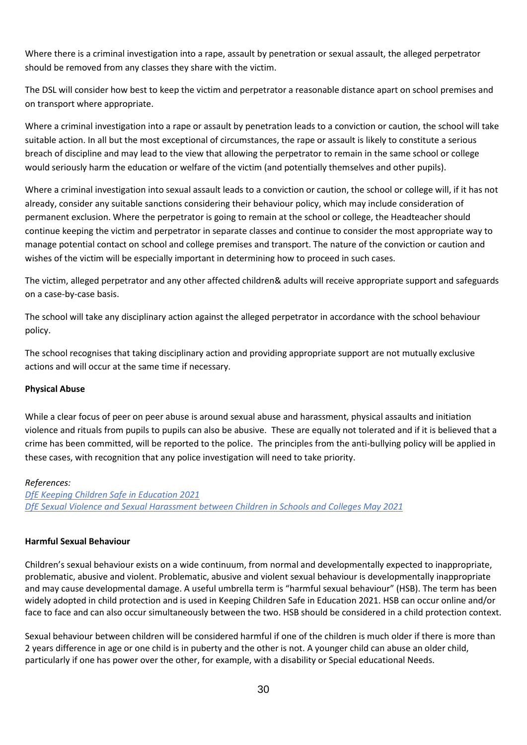Where there is a criminal investigation into a rape, assault by penetration or sexual assault, the alleged perpetrator should be removed from any classes they share with the victim.

The DSL will consider how best to keep the victim and perpetrator a reasonable distance apart on school premises and on transport where appropriate.

Where a criminal investigation into a rape or assault by penetration leads to a conviction or caution, the school will take suitable action. In all but the most exceptional of circumstances, the rape or assault is likely to constitute a serious breach of discipline and may lead to the view that allowing the perpetrator to remain in the same school or college would seriously harm the education or welfare of the victim (and potentially themselves and other pupils).

Where a criminal investigation into sexual assault leads to a conviction or caution, the school or college will, if it has not already, consider any suitable sanctions considering their behaviour policy, which may include consideration of permanent exclusion. Where the perpetrator is going to remain at the school or college, the Headteacher should continue keeping the victim and perpetrator in separate classes and continue to consider the most appropriate way to manage potential contact on school and college premises and transport. The nature of the conviction or caution and wishes of the victim will be especially important in determining how to proceed in such cases.

The victim, alleged perpetrator and any other affected children& adults will receive appropriate support and safeguards on a case-by-case basis.

The school will take any disciplinary action against the alleged perpetrator in accordance with the school behaviour policy.

The school recognises that taking disciplinary action and providing appropriate support are not mutually exclusive actions and will occur at the same time if necessary.

#### **Physical Abuse**

While a clear focus of peer on peer abuse is around sexual abuse and harassment, physical assaults and initiation violence and rituals from pupils to pupils can also be abusive. These are equally not tolerated and if it is believed that a crime has been committed, will be reported to the police. The principles from the anti-bullying policy will be applied in these cases, with recognition that any police investigation will need to take priority.

#### *References:*

*DfE Keeping [Children Safe in Education 2021](https://assets.publishing.service.gov.uk/government/uploads/system/uploads/attachment_data/file/999348/Keeping_children_safe_in_education_2021.pdf) [DfE Sexual Violence and Sexual Harassment between Children in Schools and Colleges May 2021](https://assets.publishing.service.gov.uk/government/uploads/system/uploads/attachment_data/file/999239/SVSH_2021.pdf)*

#### **Harmful Sexual Behaviour**

Children's sexual behaviour exists on a wide continuum, from normal and developmentally expected to inappropriate, problematic, abusive and violent. Problematic, abusive and violent sexual behaviour is developmentally inappropriate and may cause developmental damage. A useful umbrella term is "harmful sexual behaviour" (HSB). The term has been widely adopted in child protection and is used in Keeping Children Safe in Education 2021. HSB can occur online and/or face to face and can also occur simultaneously between the two. HSB should be considered in a child protection context.

Sexual behaviour between children will be considered harmful if one of the children is much older if there is more than 2 years difference in age or one child is in puberty and the other is not. A younger child can abuse an older child, particularly if one has power over the other, for example, with a disability or Special educational Needs.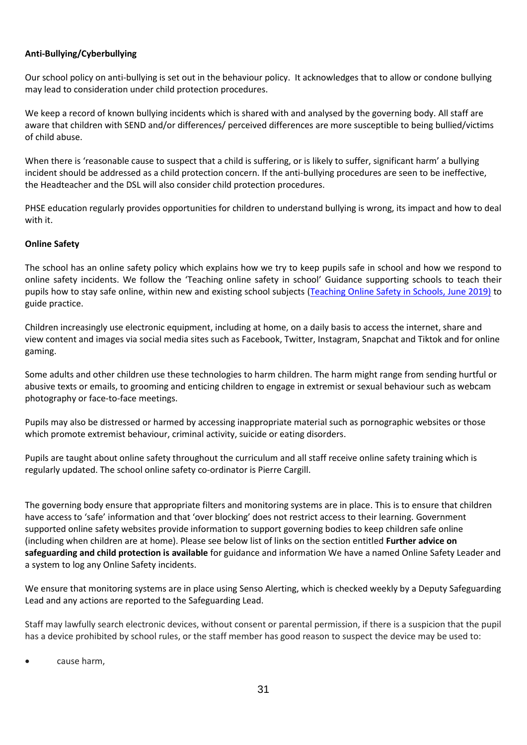## **Anti-Bullying/Cyberbullying**

Our school policy on anti-bullying is set out in the behaviour policy. It acknowledges that to allow or condone bullying may lead to consideration under child protection procedures.

We keep a record of known bullying incidents which is shared with and analysed by the governing body. All staff are aware that children with SEND and/or differences/ perceived differences are more susceptible to being bullied/victims of child abuse.

When there is 'reasonable cause to suspect that a child is suffering, or is likely to suffer, significant harm' a bullying incident should be addressed as a child protection concern. If the anti-bullying procedures are seen to be ineffective, the Headteacher and the DSL will also consider child protection procedures.

PHSE education regularly provides opportunities for children to understand bullying is wrong, its impact and how to deal with it.

#### **Online Safety**

The school has an online safety policy which explains how we try to keep pupils safe in school and how we respond to online safety incidents. We follow the 'Teaching online safety in school' Guidance supporting schools to teach their pupils how to stay safe online, within new and existing school subjects [\(Teaching Online Safety in Schools, June 2019\)](https://assets.publishing.service.gov.uk/government/uploads/system/uploads/attachment_data/file/811796/Teaching_online_safety_in_school.pdf) to guide practice.

Children increasingly use electronic equipment, including at home, on a daily basis to access the internet, share and view content and images via social media sites such as Facebook, Twitter, Instagram, Snapchat and Tiktok and for online gaming.

Some adults and other children use these technologies to harm children. The harm might range from sending hurtful or abusive texts or emails, to grooming and enticing children to engage in extremist or sexual behaviour such as webcam photography or face-to-face meetings.

Pupils may also be distressed or harmed by accessing inappropriate material such as pornographic websites or those which promote extremist behaviour, criminal activity, suicide or eating disorders.

Pupils are taught about online safety throughout the curriculum and all staff receive online safety training which is regularly updated. The school online safety co-ordinator is Pierre Cargill.

The governing body ensure that appropriate filters and monitoring systems are in place. This is to ensure that children have access to 'safe' information and that 'over blocking' does not restrict access to their learning. Government supported online safety websites provide information to support governing bodies to keep children safe online (including when children are at home). Please see below list of links on the section entitled **Further advice on safeguarding and child protection is available** for guidance and information We have a named Online Safety Leader and a system to log any Online Safety incidents.

We ensure that monitoring systems are in place using Senso Alerting, which is checked weekly by a Deputy Safeguarding Lead and any actions are reported to the Safeguarding Lead.

Staff may lawfully search electronic devices, without consent or parental permission, if there is a suspicion that the pupil has a device prohibited by school rules, or the staff member has good reason to suspect the device may be used to:

cause harm,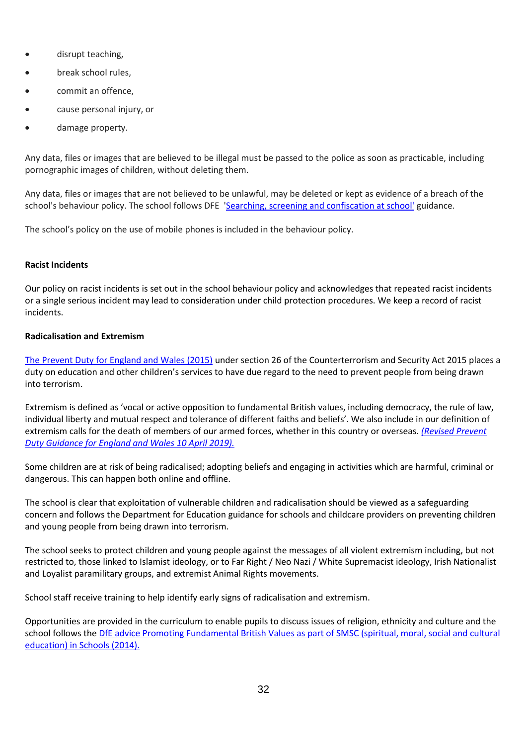- disrupt teaching,
- break school rules,
- commit an offence,
- cause personal injury, or
- damage property.

Any data, files or images that are believed to be illegal must be passed to the police as soon as practicable, including pornographic images of children, without deleting them.

Any data, files or images that are not believed to be unlawful, may be deleted or kept as evidence of a breach of the school's behaviour policy. The school follows DFE ['Searching, screening and confiscation at school'](https://assets.publishing.service.gov.uk/government/uploads/system/uploads/attachment_data/file/674416/Searching_screening_and_confiscation.pdf) guidance.

The school's policy on the use of mobile phones is included in the behaviour policy.

## **Racist Incidents**

Our policy on racist incidents is set out in the school behaviour policy and acknowledges that repeated racist incidents or a single serious incident may lead to consideration under child protection procedures. We keep a record of racist incidents.

## **Radicalisation and Extremism**

[The Prevent Duty for England and Wales \(2015\)](https://www.gov.uk/government/publications/protecting-children-from-radicalisation-the-prevent-duty) under section 26 of the Counterterrorism and Security Act 2015 places a duty on education and other children's services to have due regard to the need to prevent people from being drawn into terrorism.

Extremism is defined as 'vocal or active opposition to fundamental British values, including democracy, the rule of law, individual liberty and mutual respect and tolerance of different faiths and beliefs'. We also include in our definition of extremism calls for the death of members of our armed forces, whether in this country or overseas. *[\(Revised Prevent](https://www.gov.uk/government/publications/prevent-duty-guidance/revised-prevent-duty-guidance-for-england-and-wales)  [Duty Guidance for England and Wales 10 April 2019\).](https://www.gov.uk/government/publications/prevent-duty-guidance/revised-prevent-duty-guidance-for-england-and-wales)*

Some children are at risk of being radicalised; adopting beliefs and engaging in activities which are harmful, criminal or dangerous. This can happen both online and offline.

The school is clear that exploitation of vulnerable children and radicalisation should be viewed as a safeguarding concern and follows the Department for Education guidance for schools and childcare providers on preventing children and young people from being drawn into terrorism.

The school seeks to protect children and young people against the messages of all violent extremism including, but not restricted to, those linked to Islamist ideology, or to Far Right / Neo Nazi / White Supremacist ideology, Irish Nationalist and Loyalist paramilitary groups, and extremist Animal Rights movements.

School staff receive training to help identify early signs of radicalisation and extremism.

Opportunities are provided in the curriculum to enable pupils to discuss issues of religion, ethnicity and culture and the school follows the DfE advice Promoting Fundamental British Values as part of SMSC (spiritual, moral, social and cultural [education\) in Schools \(2014\).](https://www.gov.uk/government/news/guidance-on-promoting-british-values-in-schools-published)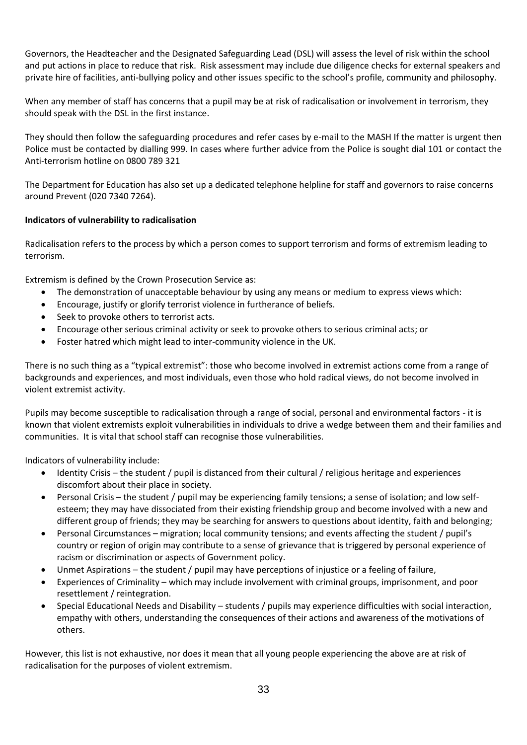Governors, the Headteacher and the Designated Safeguarding Lead (DSL) will assess the level of risk within the school and put actions in place to reduce that risk. Risk assessment may include due diligence checks for external speakers and private hire of facilities, anti-bullying policy and other issues specific to the school's profile, community and philosophy.

When any member of staff has concerns that a pupil may be at risk of radicalisation or involvement in terrorism, they should speak with the DSL in the first instance.

They should then follow the safeguarding procedures and refer cases by e-mail to [the](mailto:preventreferrals@surrey.pnn.police.uk) MASH If the matter is urgent then Police must be contacted by dialling 999. In cases where further advice from the Police is sought dial 101 or contact the Anti-terrorism hotline on 0800 789 321

The Department for Education has also set up a dedicated telephone helpline for staff and governors to raise concerns around Prevent (020 7340 7264).

## **Indicators of vulnerability to radicalisation**

Radicalisation refers to the process by which a person comes to support terrorism and forms of extremism leading to terrorism.

Extremism is defined by the Crown Prosecution Service as:

- The demonstration of unacceptable behaviour by using any means or medium to express views which:
- Encourage, justify or glorify terrorist violence in furtherance of beliefs.
- Seek to provoke others to terrorist acts.
- Encourage other serious criminal activity or seek to provoke others to serious criminal acts; or
- Foster hatred which might lead to inter-community violence in the UK.

There is no such thing as a "typical extremist": those who become involved in extremist actions come from a range of backgrounds and experiences, and most individuals, even those who hold radical views, do not become involved in violent extremist activity.

Pupils may become susceptible to radicalisation through a range of social, personal and environmental factors - it is known that violent extremists exploit vulnerabilities in individuals to drive a wedge between them and their families and communities. It is vital that school staff can recognise those vulnerabilities.

Indicators of vulnerability include:

- Identity Crisis the student / pupil is distanced from their cultural / religious heritage and experiences discomfort about their place in society.
- Personal Crisis the student / pupil may be experiencing family tensions; a sense of isolation; and low selfesteem; they may have dissociated from their existing friendship group and become involved with a new and different group of friends; they may be searching for answers to questions about identity, faith and belonging;
- Personal Circumstances migration; local community tensions; and events affecting the student / pupil's country or region of origin may contribute to a sense of grievance that is triggered by personal experience of racism or discrimination or aspects of Government policy.
- Unmet Aspirations the student / pupil may have perceptions of injustice or a feeling of failure,
- Experiences of Criminality which may include involvement with criminal groups, imprisonment, and poor resettlement / reintegration.
- Special Educational Needs and Disability students / pupils may experience difficulties with social interaction, empathy with others, understanding the consequences of their actions and awareness of the motivations of others.

However, this list is not exhaustive, nor does it mean that all young people experiencing the above are at risk of radicalisation for the purposes of violent extremism.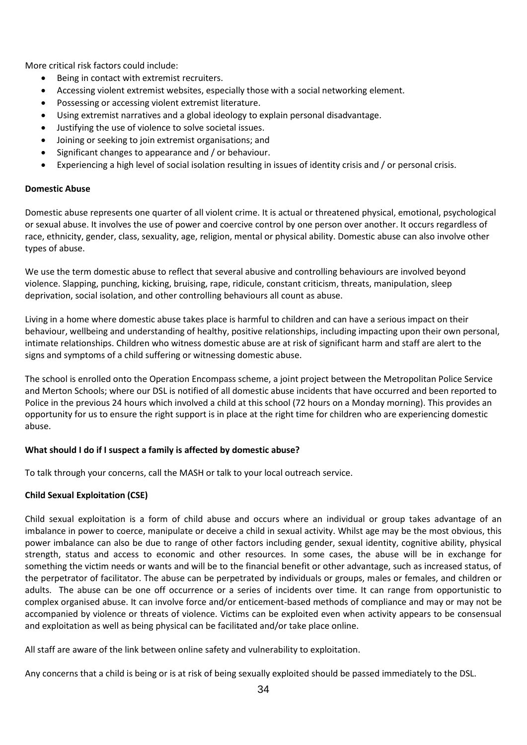More critical risk factors could include:

- Being in contact with extremist recruiters.
- Accessing violent extremist websites, especially those with a social networking element.
- Possessing or accessing violent extremist literature.
- Using extremist narratives and a global ideology to explain personal disadvantage.
- Justifying the use of violence to solve societal issues.
- Joining or seeking to join extremist organisations; and
- Significant changes to appearance and / or behaviour.
- Experiencing a high level of social isolation resulting in issues of identity crisis and / or personal crisis.

## **Domestic Abuse**

Domestic abuse represents one quarter of all violent crime. It is actual or threatened physical, emotional, psychological or sexual abuse. It involves the use of power and coercive control by one person over another. It occurs regardless of race, ethnicity, gender, class, sexuality, age, religion, mental or physical ability. Domestic abuse can also involve other types of abuse.

We use the term domestic abuse to reflect that several abusive and controlling behaviours are involved beyond violence. Slapping, punching, kicking, bruising, rape, ridicule, constant criticism, threats, manipulation, sleep deprivation, social isolation, and other controlling behaviours all count as abuse.

Living in a home where domestic abuse takes place is harmful to children and can have a serious impact on their behaviour, wellbeing and understanding of healthy, positive relationships, including impacting upon their own personal, intimate relationships. Children who witness domestic abuse are at risk of significant harm and staff are alert to the signs and symptoms of a child suffering or witnessing domestic abuse.

The school is enrolled onto the Operation Encompass scheme, a joint project between the Metropolitan Police Service and Merton Schools; where our DSL is notified of all domestic abuse incidents that have occurred and been reported to Police in the previous 24 hours which involved a child at this school (72 hours on a Monday morning). This provides an opportunity for us to ensure the right support is in place at the right time for children who are experiencing domestic abuse.

## **What should I do if I suspect a family is affected by domestic abuse?**

To talk through your concerns, call the MASH or talk to your local outreach service.

## **Child Sexual Exploitation (CSE)**

Child sexual exploitation is a form of child abuse and occurs where an individual or group takes advantage of an imbalance in power to coerce, manipulate or deceive a child in sexual activity. Whilst age may be the most obvious, this power imbalance can also be due to range of other factors including gender, sexual identity, cognitive ability, physical strength, status and access to economic and other resources. In some cases, the abuse will be in exchange for something the victim needs or wants and will be to the financial benefit or other advantage, such as increased status, of the perpetrator of facilitator. The abuse can be perpetrated by individuals or groups, males or females, and children or adults. The abuse can be one off occurrence or a series of incidents over time. It can range from opportunistic to complex organised abuse. It can involve force and/or enticement-based methods of compliance and may or may not be accompanied by violence or threats of violence. Victims can be exploited even when activity appears to be consensual and exploitation as well as being physical can be facilitated and/or take place online.

All staff are aware of the link between online safety and vulnerability to exploitation.

Any concerns that a child is being or is at risk of being sexually exploited should be passed immediately to the DSL.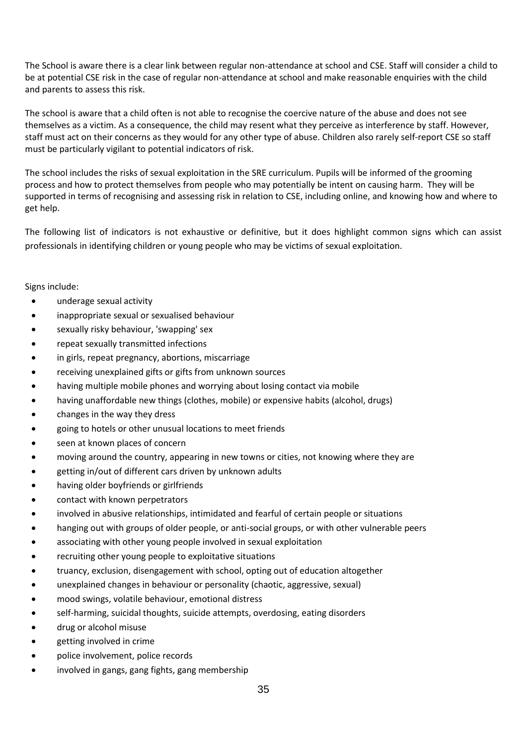The School is aware there is a clear link between regular non-attendance at school and CSE. Staff will consider a child to be at potential CSE risk in the case of regular non-attendance at school and make reasonable enquiries with the child and parents to assess this risk.

The school is aware that a child often is not able to recognise the coercive nature of the abuse and does not see themselves as a victim. As a consequence, the child may resent what they perceive as interference by staff. However, staff must act on their concerns as they would for any other type of abuse. Children also rarely self-report CSE so staff must be particularly vigilant to potential indicators of risk.

The school includes the risks of sexual exploitation in the SRE curriculum. Pupils will be informed of the grooming process and how to protect themselves from people who may potentially be intent on causing harm. They will be supported in terms of recognising and assessing risk in relation to CSE, including online, and knowing how and where to get help.

The following list of indicators is not exhaustive or definitive, but it does highlight common signs which can assist professionals in identifying children or young people who may be victims of sexual exploitation.

Signs include:

- underage sexual activity
- inappropriate sexual or sexualised behaviour
- sexually risky behaviour, 'swapping' sex
- repeat sexually transmitted infections
- in girls, repeat pregnancy, abortions, miscarriage
- receiving unexplained gifts or gifts from unknown sources
- having multiple mobile phones and worrying about losing contact via mobile
- having unaffordable new things (clothes, mobile) or expensive habits (alcohol, drugs)
- changes in the way they dress
- going to hotels or other unusual locations to meet friends
- seen at known places of concern
- moving around the country, appearing in new towns or cities, not knowing where they are
- getting in/out of different cars driven by unknown adults
- having older boyfriends or girlfriends
- contact with known perpetrators
- involved in abusive relationships, intimidated and fearful of certain people or situations
- hanging out with groups of older people, or anti-social groups, or with other vulnerable peers
- associating with other young people involved in sexual exploitation
- recruiting other young people to exploitative situations
- truancy, exclusion, disengagement with school, opting out of education altogether
- unexplained changes in behaviour or personality (chaotic, aggressive, sexual)
- mood swings, volatile behaviour, emotional distress
- self-harming, suicidal thoughts, suicide attempts, overdosing, eating disorders
- drug or alcohol misuse
- getting involved in crime
- police involvement, police records
- involved in gangs, gang fights, gang membership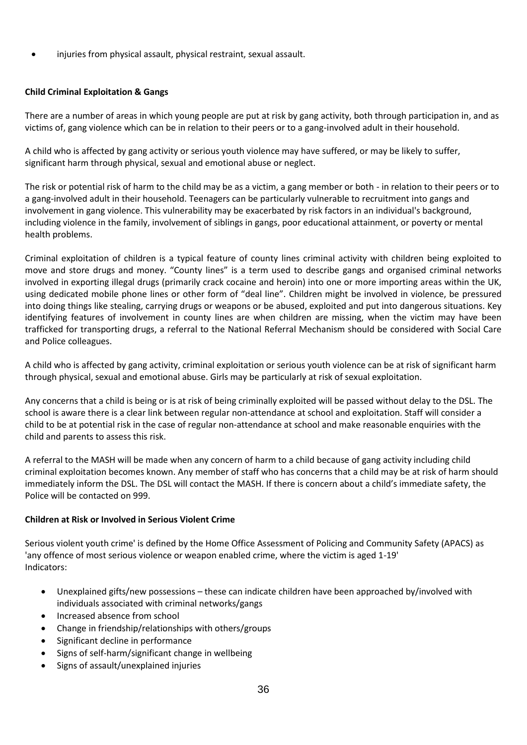• injuries from physical assault, physical restraint, sexual assault.

# **Child Criminal Exploitation & Gangs**

There are a number of areas in which young people are put at risk by gang activity, both through participation in, and as victims of, gang violence which can be in relation to their peers or to a gang-involved adult in their household.

A child who is affected by gang activity or serious youth violence may have suffered, or may be likely to suffer, significant harm through physical, sexual and emotional abuse or neglect.

The risk or potential risk of harm to the child may be as a victim, a gang member or both - in relation to their peers or to a gang-involved adult in their household. Teenagers can be particularly vulnerable to recruitment into gangs and involvement in gang violence. This vulnerability may be exacerbated by risk factors in an individual's background, including violence in the family, involvement of siblings in gangs, poor educational attainment, or poverty or mental health problems.

Criminal exploitation of children is a typical feature of county lines criminal activity with children being exploited to move and store drugs and money. "County lines" is a term used to describe gangs and organised criminal networks involved in exporting illegal drugs (primarily crack cocaine and heroin) into one or more importing areas within the UK, using dedicated mobile phone lines or other form of "deal line". Children might be involved in violence, be pressured into doing things like stealing, carrying drugs or weapons or be abused, exploited and put into dangerous situations. Key identifying features of involvement in county lines are when children are missing, when the victim may have been trafficked for transporting drugs, a referral to the National Referral Mechanism should be considered with Social Care and Police colleagues.

A child who is affected by gang activity, criminal exploitation or serious youth violence can be at risk of significant harm through physical, sexual and emotional abuse. Girls may be particularly at risk of sexual exploitation.

Any concerns that a child is being or is at risk of being criminally exploited will be passed without delay to the DSL. The school is aware there is a clear link between regular non-attendance at school and exploitation. Staff will consider a child to be at potential risk in the case of regular non-attendance at school and make reasonable enquiries with the child and parents to assess this risk.

A referral to the MASH will be made when any concern of harm to a child because of gang activity including child criminal exploitation becomes known. Any member of staff who has concerns that a child may be at risk of harm should immediately inform the DSL. The DSL will contact the MASH. If there is concern about a child's immediate safety, the Police will be contacted on 999.

## **Children at Risk or Involved in Serious Violent Crime**

Serious violent youth crime' is defined by the Home Office Assessment of Policing and Community Safety (APACS) as 'any offence of most serious violence or weapon enabled crime, where the victim is aged 1-19' Indicators:

- Unexplained gifts/new possessions these can indicate children have been approached by/involved with individuals associated with criminal networks/gangs
- Increased absence from school
- Change in friendship/relationships with others/groups
- Significant decline in performance
- Signs of self-harm/significant change in wellbeing
- Signs of assault/unexplained injuries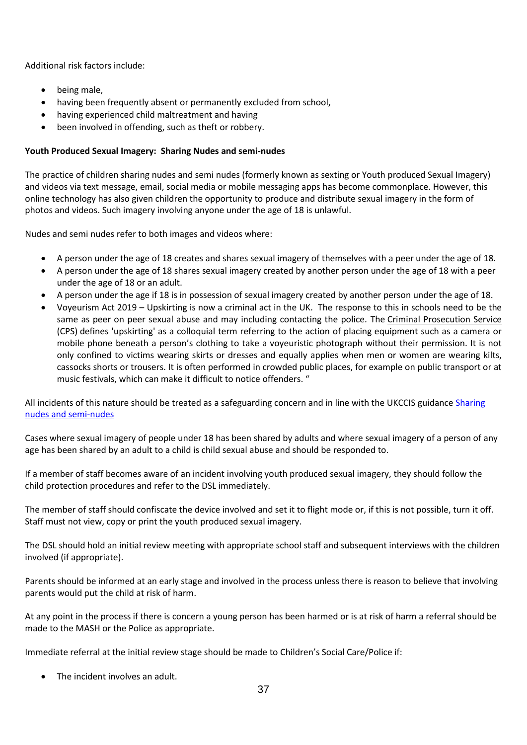Additional risk factors include:

- being male,
- having been frequently absent or permanently excluded from school,
- having experienced child maltreatment and having
- been involved in offending, such as theft or robbery.

## **Youth Produced Sexual Imagery: Sharing Nudes and semi-nudes**

The practice of children sharing nudes and semi nudes (formerly known as sexting or Youth produced Sexual Imagery) and videos via text message, email, social media or mobile messaging apps has become commonplace. However, this online technology has also given children the opportunity to produce and distribute sexual imagery in the form of photos and videos. Such imagery involving anyone under the age of 18 is unlawful.

Nudes and semi nudes refer to both images and videos where:

- A person under the age of 18 creates and shares sexual imagery of themselves with a peer under the age of 18.
- A person under the age of 18 shares sexual imagery created by another person under the age of 18 with a peer under the age of 18 or an adult.
- A person under the age if 18 is in possession of sexual imagery created by another person under the age of 18.
- Voyeurism Act 2019 Upskirting is now a criminal act in the UK. The response to this in schools need to be the same as peer on peer sexual abuse and may including contacting the police. The [Criminal Prosecution Service](https://www.cps.gov.uk/legal-guidance/voyeurism)  [\(CPS\)](https://www.cps.gov.uk/legal-guidance/voyeurism) defines 'upskirting' as a colloquial term referring to the action of placing equipment such as a camera or mobile phone beneath a person's clothing to take a voyeuristic photograph without their permission. It is not only confined to victims wearing skirts or dresses and equally applies when men or women are wearing kilts, cassocks shorts or trousers. It is often performed in crowded public places, for example on public transport or at music festivals, which can make it difficult to notice offenders. "

All incidents of this nature should be treated as a safeguarding concern and in line with the UKCCIS guidance Sharing [nudes and semi-nudes](https://assets.publishing.service.gov.uk/government/uploads/system/uploads/attachment_data/file/759007/6_2939_SP_NCA_Sexting_In_Schools_FINAL_Update_Jan17.pdf)

Cases where sexual imagery of people under 18 has been shared by adults and where sexual imagery of a person of any age has been shared by an adult to a child is child sexual abuse and should be responded to.

If a member of staff becomes aware of an incident involving youth produced sexual imagery, they should follow the child protection procedures and refer to the DSL immediately.

The member of staff should confiscate the device involved and set it to flight mode or, if this is not possible, turn it off. Staff must not view, copy or print the youth produced sexual imagery.

The DSL should hold an initial review meeting with appropriate school staff and subsequent interviews with the children involved (if appropriate).

Parents should be informed at an early stage and involved in the process unless there is reason to believe that involving parents would put the child at risk of harm.

At any point in the process if there is concern a young person has been harmed or is at risk of harm a referral should be made to the MASH or the Police as appropriate.

Immediate referral at the initial review stage should be made to Children's Social Care/Police if:

• The incident involves an adult.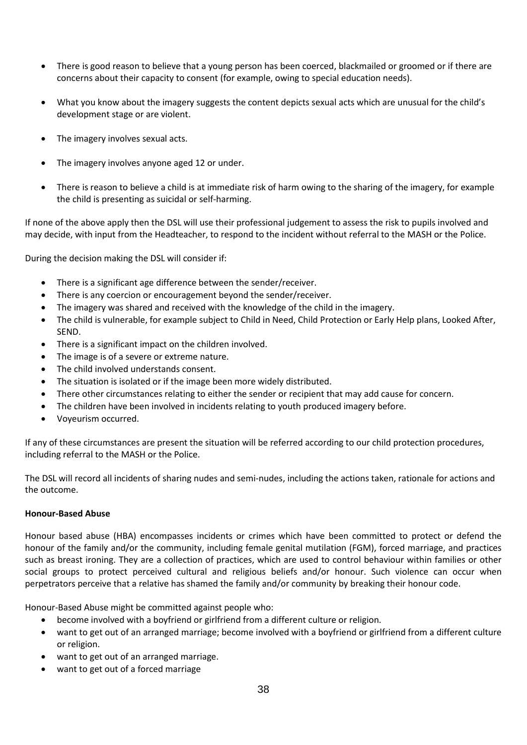- There is good reason to believe that a young person has been coerced, blackmailed or groomed or if there are concerns about their capacity to consent (for example, owing to special education needs).
- What you know about the imagery suggests the content depicts sexual acts which are unusual for the child's development stage or are violent.
- The imagery involves sexual acts.
- The imagery involves anyone aged 12 or under.
- There is reason to believe a child is at immediate risk of harm owing to the sharing of the imagery, for example the child is presenting as suicidal or self-harming.

If none of the above apply then the DSL will use their professional judgement to assess the risk to pupils involved and may decide, with input from the Headteacher, to respond to the incident without referral to the MASH or the Police.

During the decision making the DSL will consider if:

- There is a significant age difference between the sender/receiver.
- There is any coercion or encouragement beyond the sender/receiver.
- The imagery was shared and received with the knowledge of the child in the imagery.
- The child is vulnerable, for example subject to Child in Need, Child Protection or Early Help plans, Looked After, SEND.
- There is a significant impact on the children involved.
- The image is of a severe or extreme nature.
- The child involved understands consent.
- The situation is isolated or if the image been more widely distributed.
- There other circumstances relating to either the sender or recipient that may add cause for concern.
- The children have been involved in incidents relating to youth produced imagery before.
- Voyeurism occurred.

If any of these circumstances are present the situation will be referred according to our child protection procedures, including referral to the MASH or the Police.

The DSL will record all incidents of sharing nudes and semi-nudes, including the actions taken, rationale for actions and the outcome.

## **Honour-Based Abuse**

Honour based abuse (HBA) encompasses incidents or crimes which have been committed to protect or defend the honour of the family and/or the community, including female genital mutilation (FGM), forced marriage, and practices such as breast ironing. They are a collection of practices, which are used to control behaviour within families or other social groups to protect perceived cultural and religious beliefs and/or honour. Such violence can occur when perpetrators perceive that a relative has shamed the family and/or community by breaking their honour code.

Honour-Based Abuse might be committed against people who:

- become involved with a boyfriend or girlfriend from a different culture or religion.
- want to get out of an arranged marriage; become involved with a boyfriend or girlfriend from a different culture or religion.
- want to get out of an arranged marriage.
- want to get out of a forced marriage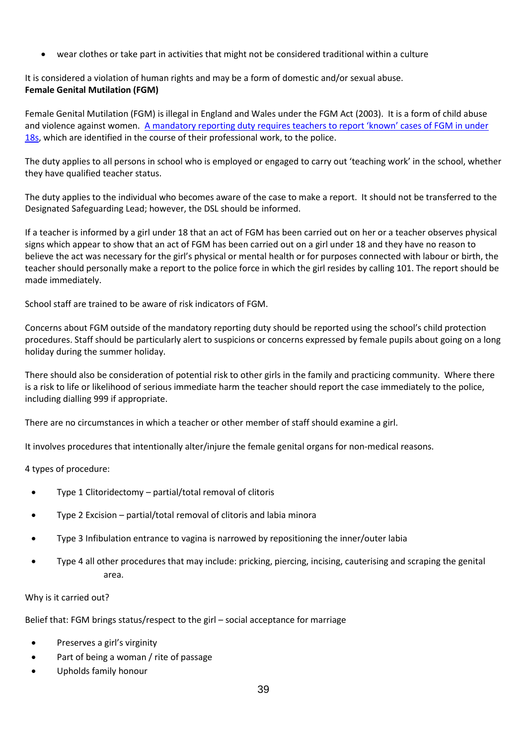• wear clothes or take part in activities that might not be considered traditional within a culture

It is considered a violation of human rights and may be a form of domestic and/or sexual abuse. **Female Genital Mutilation (FGM)**

Female Genital Mutilation (FGM) is illegal in England and Wales under the FGM Act (2003). It is a form of child abuse and violence against women. A mandat[ory reporting duty requires teachers to report 'known' cases of FGM in under](https://www.gov.uk/government/publications/mandatory-reporting-of-female-genital-mutilation-procedural-information)  [18s,](https://www.gov.uk/government/publications/mandatory-reporting-of-female-genital-mutilation-procedural-information) which are identified in the course of their professional work, to the police.

The duty applies to all persons in school who is employed or engaged to carry out 'teaching work' in the school, whether they have qualified teacher status.

The duty applies to the individual who becomes aware of the case to make a report. It should not be transferred to the Designated Safeguarding Lead; however, the DSL should be informed.

If a teacher is informed by a girl under 18 that an act of FGM has been carried out on her or a teacher observes physical signs which appear to show that an act of FGM has been carried out on a girl under 18 and they have no reason to believe the act was necessary for the girl's physical or mental health or for purposes connected with labour or birth, the teacher should personally make a report to the police force in which the girl resides by calling 101. The report should be made immediately.

School staff are trained to be aware of risk indicators of FGM.

Concerns about FGM outside of the mandatory reporting duty should be reported using the school's child protection procedures. Staff should be particularly alert to suspicions or concerns expressed by female pupils about going on a long holiday during the summer holiday.

There should also be consideration of potential risk to other girls in the family and practicing community. Where there is a risk to life or likelihood of serious immediate harm the teacher should report the case immediately to the police, including dialling 999 if appropriate.

There are no circumstances in which a teacher or other member of staff should examine a girl.

It involves procedures that intentionally alter/injure the female genital organs for non-medical reasons.

4 types of procedure:

- Type 1 Clitoridectomy partial/total removal of clitoris
- Type 2 Excision partial/total removal of clitoris and labia minora
- Type 3 Infibulation entrance to vagina is narrowed by repositioning the inner/outer labia
- Type 4 all other procedures that may include: pricking, piercing, incising, cauterising and scraping the genital area.

#### Why is it carried out?

Belief that: FGM brings status/respect to the girl – social acceptance for marriage

- Preserves a girl's virginity
- Part of being a woman / rite of passage
- Upholds family honour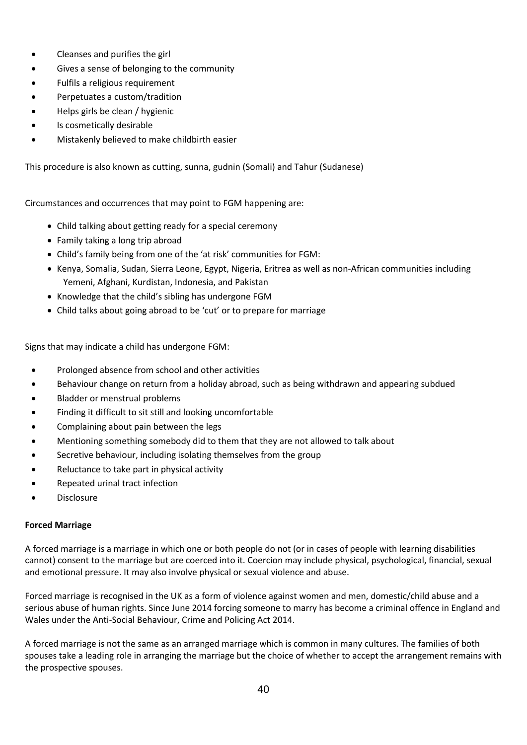- Cleanses and purifies the girl
- Gives a sense of belonging to the community
- Fulfils a religious requirement
- Perpetuates a custom/tradition
- Helps girls be clean / hygienic
- Is cosmetically desirable
- Mistakenly believed to make childbirth easier

This procedure is also known as cutting, sunna, gudnin (Somali) and Tahur (Sudanese)

Circumstances and occurrences that may point to FGM happening are:

- Child talking about getting ready for a special ceremony
- Family taking a long trip abroad
- Child's family being from one of the 'at risk' communities for FGM:
- Kenya, Somalia, Sudan, Sierra Leone, Egypt, Nigeria, Eritrea as well as non-African communities including Yemeni, Afghani, Kurdistan, Indonesia, and Pakistan
- Knowledge that the child's sibling has undergone FGM
- Child talks about going abroad to be 'cut' or to prepare for marriage

Signs that may indicate a child has undergone FGM:

- Prolonged absence from school and other activities
- Behaviour change on return from a holiday abroad, such as being withdrawn and appearing subdued
- Bladder or menstrual problems
- Finding it difficult to sit still and looking uncomfortable
- Complaining about pain between the legs
- Mentioning something somebody did to them that they are not allowed to talk about
- Secretive behaviour, including isolating themselves from the group
- Reluctance to take part in physical activity
- Repeated urinal tract infection
- Disclosure

## **Forced Marriage**

A forced marriage is a marriage in which one or both people do not (or in cases of people with learning disabilities cannot) consent to the marriage but are coerced into it. Coercion may include physical, psychological, financial, sexual and emotional pressure. It may also involve physical or sexual violence and abuse.

Forced marriage is recognised in the UK as a form of violence against women and men, domestic/child abuse and a serious abuse of human rights. Since June 2014 forcing someone to marry has become a criminal offence in England and Wales under the Anti-Social Behaviour, Crime and Policing Act 2014.

A forced marriage is not the same as an arranged marriage which is common in many cultures. The families of both spouses take a leading role in arranging the marriage but the choice of whether to accept the arrangement remains with the prospective spouses.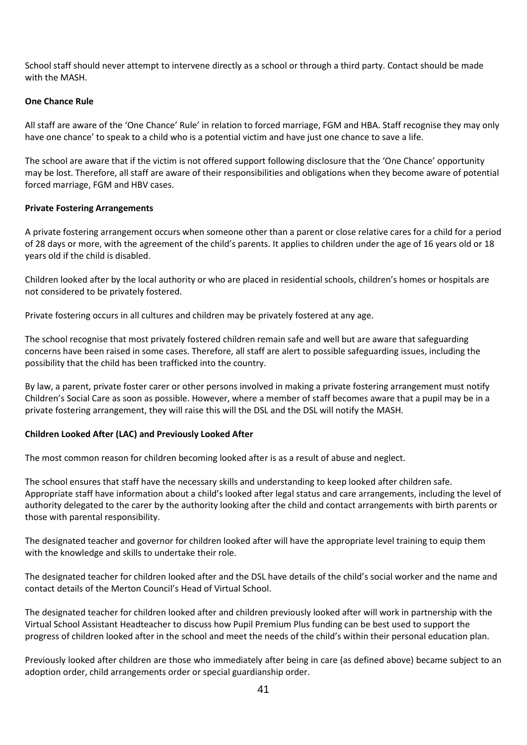School staff should never attempt to intervene directly as a school or through a third party. Contact should be made with the MASH.

#### **One Chance Rule**

All staff are aware of the 'One Chance' Rule' in relation to forced marriage, FGM and HBA. Staff recognise they may only have one chance' to speak to a child who is a potential victim and have just one chance to save a life.

The school are aware that if the victim is not offered support following disclosure that the 'One Chance' opportunity may be lost. Therefore, all staff are aware of their responsibilities and obligations when they become aware of potential forced marriage, FGM and HBV cases.

#### **Private Fostering Arrangements**

A private fostering arrangement occurs when someone other than a parent or close relative cares for a child for a period of 28 days or more, with the agreement of the child's parents. It applies to children under the age of 16 years old or 18 years old if the child is disabled.

Children looked after by the local authority or who are placed in residential schools, children's homes or hospitals are not considered to be privately fostered.

Private fostering occurs in all cultures and children may be privately fostered at any age.

The school recognise that most privately fostered children remain safe and well but are aware that safeguarding concerns have been raised in some cases. Therefore, all staff are alert to possible safeguarding issues, including the possibility that the child has been trafficked into the country.

By law, a parent, private foster carer or other persons involved in making a private fostering arrangement must notify Children's Social Care as soon as possible. However, where a member of staff becomes aware that a pupil may be in a private fostering arrangement, they will raise this will the DSL and the DSL will notify the MASH.

## **Children Looked After (LAC) and Previously Looked After**

The most common reason for children becoming looked after is as a result of abuse and neglect.

The school ensures that staff have the necessary skills and understanding to keep looked after children safe. Appropriate staff have information about a child's looked after legal status and care arrangements, including the level of authority delegated to the carer by the authority looking after the child and contact arrangements with birth parents or those with parental responsibility.

The designated teacher and governor for children looked after will have the appropriate level training to equip them with the knowledge and skills to undertake their role.

The designated teacher for children looked after and the DSL have details of the child's social worker and the name and contact details of the Merton Council's Head of Virtual School.

The designated teacher for children looked after and children previously looked after will work in partnership with the Virtual School Assistant Headteacher to discuss how Pupil Premium Plus funding can be best used to support the progress of children looked after in the school and meet the needs of the child's within their personal education plan.

Previously looked after children are those who immediately after being in care (as defined above) became subject to an adoption order, child arrangements order or special guardianship order.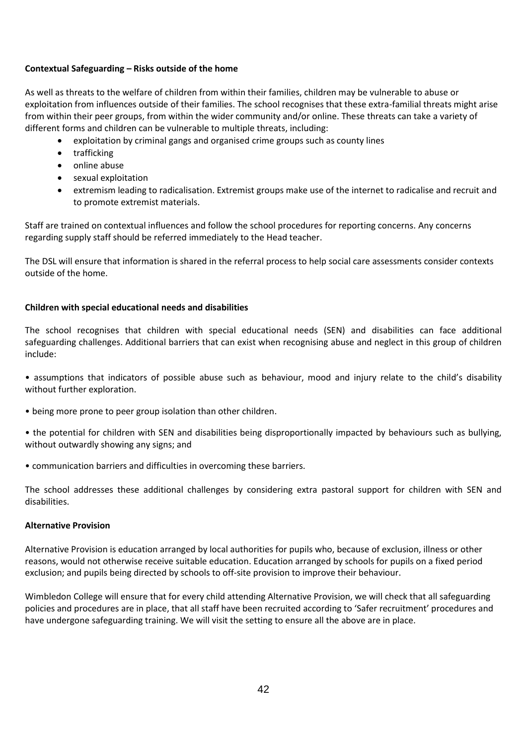## **Contextual Safeguarding – Risks outside of the home**

As well as threats to the welfare of children from within their families, children may be vulnerable to abuse or exploitation from influences outside of their families. The school recognises that these extra-familial threats might arise from within their peer groups, from within the wider community and/or online. These threats can take a variety of different forms and children can be vulnerable to multiple threats, including:

- exploitation by criminal gangs and organised crime groups such as county lines
- trafficking
- online abuse
- sexual exploitation
- extremism leading to radicalisation. Extremist groups make use of the internet to radicalise and recruit and to promote extremist materials.

Staff are trained on contextual influences and follow the school procedures for reporting concerns. Any concerns regarding supply staff should be referred immediately to the Head teacher.

The DSL will ensure that information is shared in the referral process to help social care assessments consider contexts outside of the home.

## **Children with special educational needs and disabilities**

The school recognises that children with special educational needs (SEN) and disabilities can face additional safeguarding challenges. Additional barriers that can exist when recognising abuse and neglect in this group of children include:

• assumptions that indicators of possible abuse such as behaviour, mood and injury relate to the child's disability without further exploration.

- being more prone to peer group isolation than other children.
- the potential for children with SEN and disabilities being disproportionally impacted by behaviours such as bullying, without outwardly showing any signs; and
- communication barriers and difficulties in overcoming these barriers.

The school addresses these additional challenges by considering extra pastoral support for children with SEN and disabilities.

#### **Alternative Provision**

Alternative Provision is education arranged by local authorities for pupils who, because of exclusion, illness or other reasons, would not otherwise receive suitable education. Education arranged by schools for pupils on a fixed period exclusion; and pupils being directed by schools to off-site provision to improve their behaviour.

Wimbledon College will ensure that for every child attending Alternative Provision, we will check that all safeguarding policies and procedures are in place, that all staff have been recruited according to 'Safer recruitment' procedures and have undergone safeguarding training. We will visit the setting to ensure all the above are in place.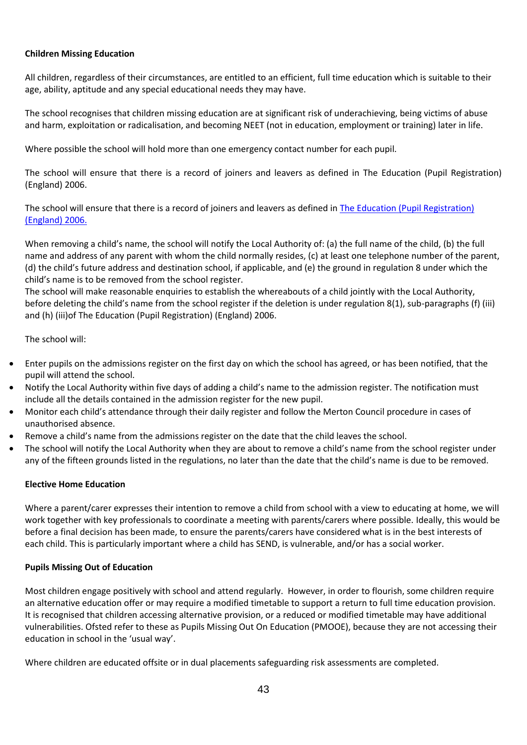## **Children Missing Education**

All children, regardless of their circumstances, are entitled to an efficient, full time education which is suitable to their age, ability, aptitude and any special educational needs they may have.

The school recognises that children missing education are at significant risk of underachieving, being victims of abuse and harm, exploitation or radicalisation, and becoming NEET (not in education, employment or training) later in life.

Where possible the school will hold more than one emergency contact number for each pupil.

The school will ensure that there is a record of joiners and leavers as defined in The Education (Pupil Registration) (England) 2006.

The school will ensure that there is a record of joiners and leavers as defined in [The Education \(Pupil Registration\)](https://www.kelsi.org.uk/news-and-events/news/primary/changes-to-the-education-pupil-registration-england-regulations-2006)  [\(England\) 2006.](https://www.kelsi.org.uk/news-and-events/news/primary/changes-to-the-education-pupil-registration-england-regulations-2006)

When removing a child's name, the school will notify the Local Authority of: (a) the full name of the child, (b) the full name and address of any parent with whom the child normally resides, (c) at least one telephone number of the parent, (d) the child's future address and destination school, if applicable, and (e) the ground in regulation 8 under which the child's name is to be removed from the school register.

The school will make reasonable enquiries to establish the whereabouts of a child jointly with the Local Authority, before deleting the child's name from the school register if the deletion is under regulation 8(1), sub-paragraphs (f) (iii) and (h) (iii)of The Education (Pupil Registration) (England) 2006.

The school will:

- Enter pupils on the admissions register on the first day on which the school has agreed, or has been notified, that the pupil will attend the school.
- Notify the Local Authority within five days of adding a child's name to the admission register. The notification must include all the details contained in the admission register for the new pupil.
- Monitor each child's attendance through their daily register and follow the Merton Council procedure in cases of unauthorised absence.
- Remove a child's name from the admissions register on the date that the child leaves the school.
- The school will notify the Local Authority when they are about to remove a child's name from the school register under any of the fifteen grounds listed in the regulations, no later than the date that the child's name is due to be removed.

#### **Elective Home Education**

Where a parent/carer expresses their intention to remove a child from school with a view to educating at home, we will work together with key professionals to coordinate a meeting with parents/carers where possible. Ideally, this would be before a final decision has been made, to ensure the parents/carers have considered what is in the best interests of each child. This is particularly important where a child has SEND, is vulnerable, and/or has a social worker.

#### **Pupils Missing Out of Education**

Most children engage positively with school and attend regularly. However, in order to flourish, some children require an alternative education offer or may require a modified timetable to support a return to full time education provision. It is recognised that children accessing alternative provision, or a reduced or modified timetable may have additional vulnerabilities. Ofsted refer to these as Pupils Missing Out On Education (PMOOE), because they are not accessing their education in school in the 'usual way'.

Where children are educated offsite or in dual placements safeguarding risk assessments are completed.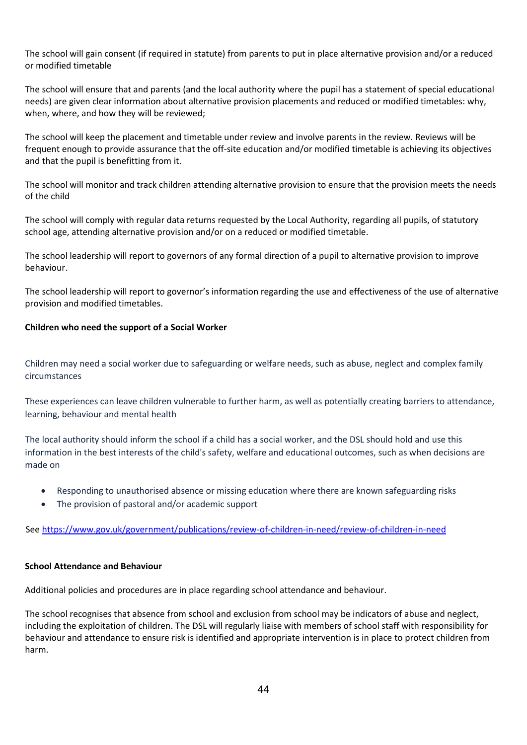The school will gain consent (if required in statute) from parents to put in place alternative provision and/or a reduced or modified timetable

The school will ensure that and parents (and the local authority where the pupil has a statement of special educational needs) are given clear information about alternative provision placements and reduced or modified timetables: why, when, where, and how they will be reviewed;

The school will keep the placement and timetable under review and involve parents in the review. Reviews will be frequent enough to provide assurance that the off-site education and/or modified timetable is achieving its objectives and that the pupil is benefitting from it.

The school will monitor and track children attending alternative provision to ensure that the provision meets the needs of the child

The school will comply with regular data returns requested by the Local Authority, regarding all pupils, of statutory school age, attending alternative provision and/or on a reduced or modified timetable.

The school leadership will report to governors of any formal direction of a pupil to alternative provision to improve behaviour.

The school leadership will report to governor's information regarding the use and effectiveness of the use of alternative provision and modified timetables.

## **Children who need the support of a Social Worker**

Children may need a social worker due to safeguarding or welfare needs, such as abuse, neglect and complex family circumstances

These experiences can leave children vulnerable to further harm, as well as potentially creating barriers to attendance, learning, behaviour and mental health

The local authority should inform the school if a child has a social worker, and the DSL should hold and use this information in the best interests of the child's safety, welfare and educational outcomes, such as when decisions are made on

- Responding to unauthorised absence or missing education where there are known safeguarding risks
- The provision of pastoral and/or academic support

See https://www.gov.uk/government/publications/review-of-children-in-need/review-of-children-in-need

#### **School Attendance and Behaviour**

Additional policies and procedures are in place regarding school attendance and behaviour.

The school recognises that absence from school and exclusion from school may be indicators of abuse and neglect, including the exploitation of children. The DSL will regularly liaise with members of school staff with responsibility for behaviour and attendance to ensure risk is identified and appropriate intervention is in place to protect children from harm.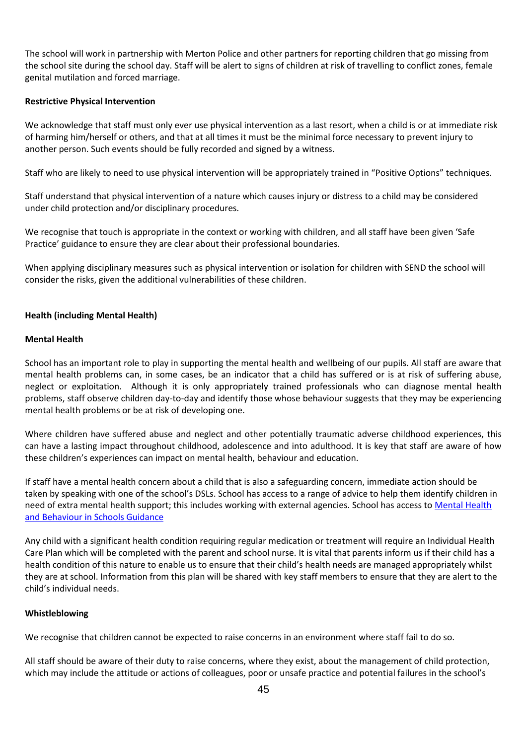The school will work in partnership with Merton Police and other partners for reporting children that go missing from the school site during the school day. Staff will be alert to signs of children at risk of travelling to conflict zones, female genital mutilation and forced marriage.

#### **Restrictive Physical Intervention**

We acknowledge that staff must only ever use physical intervention as a last resort, when a child is or at immediate risk of harming him/herself or others, and that at all times it must be the minimal force necessary to prevent injury to another person. Such events should be fully recorded and signed by a witness.

Staff who are likely to need to use physical intervention will be appropriately trained in "Positive Options" techniques.

Staff understand that physical intervention of a nature which causes injury or distress to a child may be considered under child protection and/or disciplinary procedures.

We recognise that touch is appropriate in the context or working with children, and all staff have been given 'Safe Practice' guidance to ensure they are clear about their professional boundaries.

When applying disciplinary measures such as physical intervention or isolation for children with SEND the school will consider the risks, given the additional vulnerabilities of these children.

## **Health (including Mental Health)**

#### **Mental Health**

School has an important role to play in supporting the mental health and wellbeing of our pupils. All staff are aware that mental health problems can, in some cases, be an indicator that a child has suffered or is at risk of suffering abuse, neglect or exploitation. Although it is only appropriately trained professionals who can diagnose mental health problems, staff observe children day-to-day and identify those whose behaviour suggests that they may be experiencing mental health problems or be at risk of developing one.

Where children have suffered abuse and neglect and other potentially traumatic adverse childhood experiences, this can have a lasting impact throughout childhood, adolescence and into adulthood. It is key that staff are aware of how these children's experiences can impact on mental health, behaviour and education.

If staff have a mental health concern about a child that is also a safeguarding concern, immediate action should be taken by speaking with one of the school's DSLs. School has access to a range of advice to help them identify children in need of extra mental health support; this includes working with external agencies. School has access to Mental Health [and Behaviour in Schools Guidance](https://www.gov.uk/government/publications/mental-health-and-behaviour-in-schools--2)

Any child with a significant health condition requiring regular medication or treatment will require an Individual Health Care Plan which will be completed with the parent and school nurse. It is vital that parents inform us if their child has a health condition of this nature to enable us to ensure that their child's health needs are managed appropriately whilst they are at school. Information from this plan will be shared with key staff members to ensure that they are alert to the child's individual needs.

#### **Whistleblowing**

We recognise that children cannot be expected to raise concerns in an environment where staff fail to do so.

All staff should be aware of their duty to raise concerns, where they exist, about the management of child protection, which may include the attitude or actions of colleagues, poor or unsafe practice and potential failures in the school's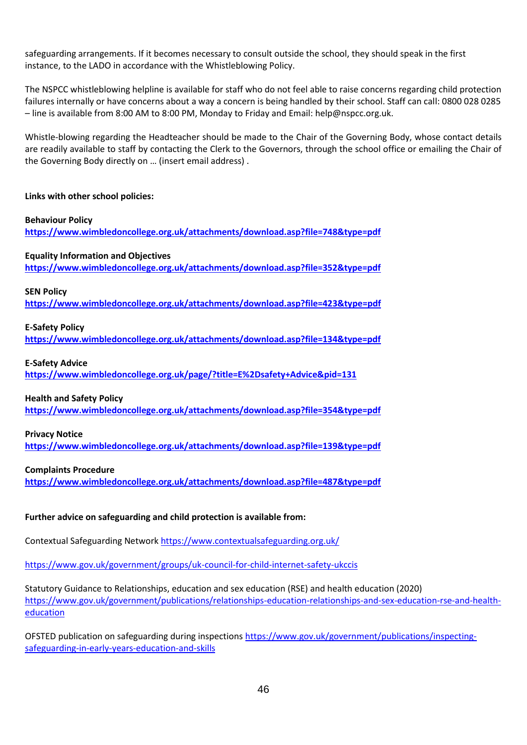safeguarding arrangements. If it becomes necessary to consult outside the school, they should speak in the first instance, to the LADO in accordance with the Whistleblowing Policy.

The NSPCC whistleblowing helpline is available for staff who do not feel able to raise concerns regarding child protection failures internally or have concerns about a way a concern is being handled by their school. Staff can call: 0800 028 0285 – line is available from 8:00 AM to 8:00 PM, Monday to Friday and Email: help@nspcc.org.uk.

Whistle-blowing regarding the Headteacher should be made to the Chair of the Governing Body, whose contact details are readily available to staff by contacting the Clerk to the Governors, through the school office or emailing the Chair of the Governing Body directly on … (insert email address) .

## **Links with other school policies:**

**Behaviour Policy <https://www.wimbledoncollege.org.uk/attachments/download.asp?file=748&type=pdf>**

## **Equality Information and Objectives**

**<https://www.wimbledoncollege.org.uk/attachments/download.asp?file=352&type=pdf>**

#### **SEN Policy**

**<https://www.wimbledoncollege.org.uk/attachments/download.asp?file=423&type=pdf>**

## **E-Safety Policy**

**<https://www.wimbledoncollege.org.uk/attachments/download.asp?file=134&type=pdf>**

## **E-Safety Advice**

**<https://www.wimbledoncollege.org.uk/page/?title=E%2Dsafety+Advice&pid=131>**

#### **Health and Safety Policy**

**<https://www.wimbledoncollege.org.uk/attachments/download.asp?file=354&type=pdf>**

#### **Privacy Notice**

**<https://www.wimbledoncollege.org.uk/attachments/download.asp?file=139&type=pdf>**

#### **Complaints Procedure**

**<https://www.wimbledoncollege.org.uk/attachments/download.asp?file=487&type=pdf>**

## **Further advice on safeguarding and child protection is available from:**

Contextual Safeguarding Networ[k https://www.contextualsafeguarding.org.uk/](https://www.contextualsafeguarding.org.uk/)

<https://www.gov.uk/government/groups/uk-council-for-child-internet-safety-ukccis>

Statutory Guidance to Relationships, education and sex education (RSE) and health education (2020) [https://www.gov.uk/government/publications/relationships-education-relationships-and-sex-education-rse-and-health](https://www.gov.uk/government/publications/relationships-education-relationships-and-sex-education-rse-and-health-education)[education](https://www.gov.uk/government/publications/relationships-education-relationships-and-sex-education-rse-and-health-education)

OFSTED publication on safeguarding during inspections [https://www.gov.uk/government/publications/inspecting](https://www.gov.uk/government/publications/inspecting-safeguarding-in-early-years-education-and-skills)[safeguarding-in-early-years-education-and-skills](https://www.gov.uk/government/publications/inspecting-safeguarding-in-early-years-education-and-skills)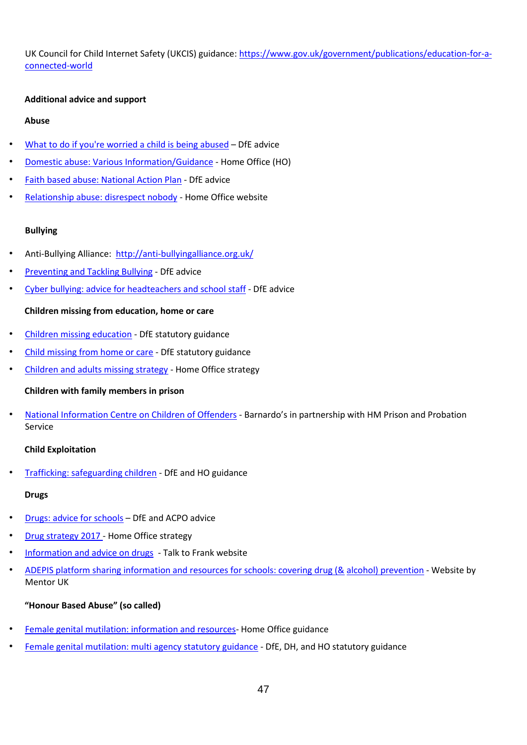UK Council for Child Internet Safety (UKCIS) guidance: [https://www.gov.uk/government/publications/education-for-a](https://www.gov.uk/government/publications/education-for-a-connected-world)[connected-world](https://www.gov.uk/government/publications/education-for-a-connected-world)

#### **Additional advice and support**

#### **Abuse**

- [What to do if you're worried a child is being abused](https://www.gov.uk/government/publications/what-to-do-if-youre-worried-a-child-is-being-abused--2) DfE advice
- [Domestic abuse: Various Information/Guidance](https://www.gov.uk/domestic-violence-and-abuse) [-](https://www.gov.uk/domestic-violence-and-abuse) Home Office (HO)
- [Faith based abuse: National Action Plan](https://www.gov.uk/government/publications/national-action-plan-to-tackle-child-abuse-linked-to-faith-or-belief) DfE advice
- [Relationship abuse: disrespect nobody](https://www.disrespectnobody.co.uk/relationship-abuse/what-is-relationship-abuse/) Home Office website

## **Bullying**

- Anti-Bullying Alliance: <http://anti-bullyingalliance.org.uk/>
- [Preventing and Tackling Bullying](https://www.gov.uk/government/publications/preventing-and-tackling-bullying) DfE advice
- [Cyber bullying: advice for headteachers and school staff](https://www.gov.uk/government/publications/preventing-and-tackling-bullying) [-](https://www.gov.uk/government/publications/preventing-and-tackling-bullying) DfE advice

## **Children missing from education, home or care**

- [Children missing education](https://www.gov.uk/government/publications/children-missing-education) [-](https://www.gov.uk/government/publications/children-missing-education) DfE statutory guidance
- [Child missing from home or care](https://www.gov.uk/government/publications/children-who-run-away-or-go-missing-from-home-or-care) DfE statutory guidance
- [Children and adults missing strategy](https://www.gov.uk/government/publications/missing-children-and-adults-strategy) [-](https://www.gov.uk/government/publications/missing-children-and-adults-strategy) Home Office strategy

#### **Children with family members in prison**

• [National Information Centre on Children of Offenders](https://www.nicco.org.uk/) - Barnardo's in partnership with HM Prison and Probation Service

## **Child Exploitation**

• [Trafficking: safeguarding children](https://www.gov.uk/government/publications/safeguarding-children-who-may-have-been-trafficked-practice-guidance) [-](https://www.gov.uk/government/publications/safeguarding-children-who-may-have-been-trafficked-practice-guidance) DfE and HO guidance

# **Drugs**

- [Drugs: advice for schools](https://www.gov.uk/government/publications/drugs-advice-for-schools) DfE and ACPO advice
- [Drug strategy 2017 -](https://www.gov.uk/government/publications/drug-strategy-2017) Home Office strategy
- [Information and advice on drugs](http://www.talktofrank.com/) Talk to Frank website
- [ADEPIS platform sharing information and resources for schools: covering drug \(&](http://mentor-adepis.org/) [alcohol\) prevention](http://mentor-adepis.org/) [-](http://mentor-adepis.org/) Website by Mentor UK

# **"Honour Based Abuse" (so called)**

- [Female genital mutilation: information and resources-](https://www.gov.uk/government/collections/female-genital-mutilation) Home Office guidance
- [Female genital mutilation: multi agency statutory guidance](https://www.gov.uk/government/publications/multi-agency-statutory-guidance-on-female-genital-mutilation) DfE, DH, and HO statutory guidance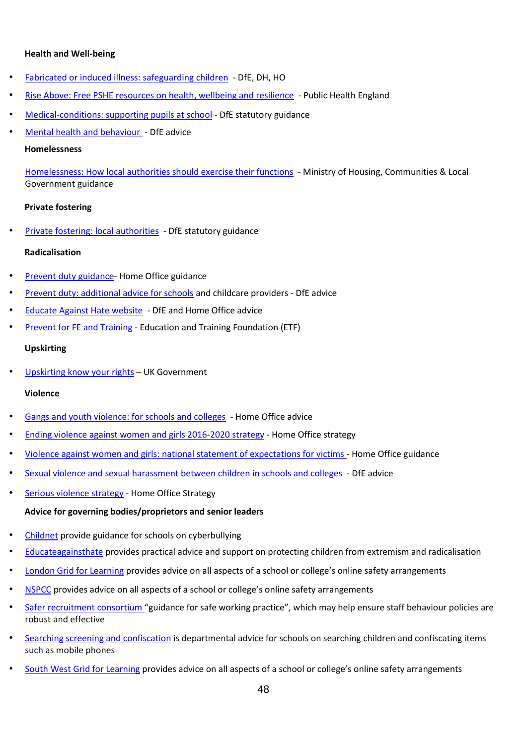#### **Health and Well-being**

- [Fabricated or induced illness: safeguarding children](https://www.gov.uk/government/publications/safeguarding-children-in-whom-illness-is-fabricated-or-induced) DfE, DH, HO
- [Rise Above: Free PSHE resources on health, wellbeing and resilience](https://www.pshe-association.org.uk/curriculum-and-resources/resources/rise-above-schools-teaching-resources) Public Health England
- [Medical-conditions: supporting pupils at school](https://www.gov.uk/government/publications/supporting-pupils-at-school-with-medical-conditions--3) [-](https://www.gov.uk/government/publications/supporting-pupils-at-school-with-medical-conditions--3) DfE statutory guidance
- [Mental health and behaviour -](https://www.gov.uk/government/publications/mental-health-and-behaviour-in-schools--2) DfE advice

# **Homelessness**

[Homelessness: How local authorities should exercise their functions](https://www.gov.uk/guidance/homelessness-code-of-guidance-for-local-authorities) - Ministry of Housing, Communities & Local Government guidance

# **Private fostering**

• [Private fostering: local authorities](https://www.gov.uk/government/publications/children-act-1989-private-fostering) - DfE statutory guidance

# **Radicalisation**

- [Prevent duty guidance-](https://www.gov.uk/government/publications/prevent-duty-guidance) Home Office guidance
- [Prevent duty: additional advice for schools](https://www.gov.uk/government/publications/protecting-children-from-radicalisation-the-prevent-duty) and childcare providers DfE advice
- [Educate Against Hate website](http://educateagainsthate.com/) DfE and Home Office advice
- **[Prevent for FE and Training](http://preventforfeandtraining.org.uk/) Education and Training Foundation (ETF)**

# **Upskirting**

[Upskirting know your rights](https://www.gov.uk/government/news/upskirting-know-your-rights) - UK Government

# **Violence**

- [Gangs and youth violence: for schools and colleges](https://www.gov.uk/government/publications/advice-to-schools-and-colleges-on-gangs-and-youth-violence) Home Office advice
- [Ending violence against women and girls 2016-2020 strategy](https://www.gov.uk/government/publications/strategy-to-end-violence-against-women-and-girls-2016-to-2020) Home Office strategy
- [Violence against women and girls: national statement of expectations for victims](https://www.gov.uk/government/publications/violence-against-women-and-girls-national-statement-of-expectations) [-](https://www.gov.uk/government/publications/violence-against-women-and-girls-national-statement-of-expectations) Home Office guidance
- [Sexual violence and sexual harassment between children in schools and colleges](https://assets.publishing.service.gov.uk/government/uploads/system/uploads/attachment_data/file/999239/SVSH_2021.pdf) DfE advice
- [Serious violence strategy](https://www.gov.uk/government/publications/serious-violence-strategy) Home Office Strategy

# **Advice for governing bodies/proprietors and senior leaders**

- [Childnet](http://www.childnet.com/cyberbullying-guidance) provide guidance for schools on cyberbullying
- [Educateagainsthate](http://www.educateagainsthate.com/) provides practical advice and support on protecting children from extremism and radicalisation
- [London Grid for Learning](https://www.lgfl.net/) [p](https://www.lgfl.net/)rovides advice on all aspects of a school or college's online safety arrangements
- [NSPCC](https://learning.nspcc.org.uk/research-resources/schools/e-safety-for-schools) [p](https://learning.nspcc.org.uk/research-resources/schools/e-safety-for-schools)rovides advice on all aspects of a school or college's online safety arrangements
- [Safer recruitment consortium](https://www.saferrecruitmentconsortium.org/) ["](https://www.saferrecruitmentconsortium.org/)guidance for safe working practice", which may help ensure staff behaviour policies are robust and effective
- [Searching screening and confiscation](http://www.gov.uk/government/publications/searching-screening-and-confiscation) is departmental advice for schools on searching children and confiscating items such as mobile phones
- [South West Grid for Learning](http://www.swgfl.org.uk/) [p](http://www.swgfl.org.uk/)rovides advice on all aspects of a school or college's online safety arrangements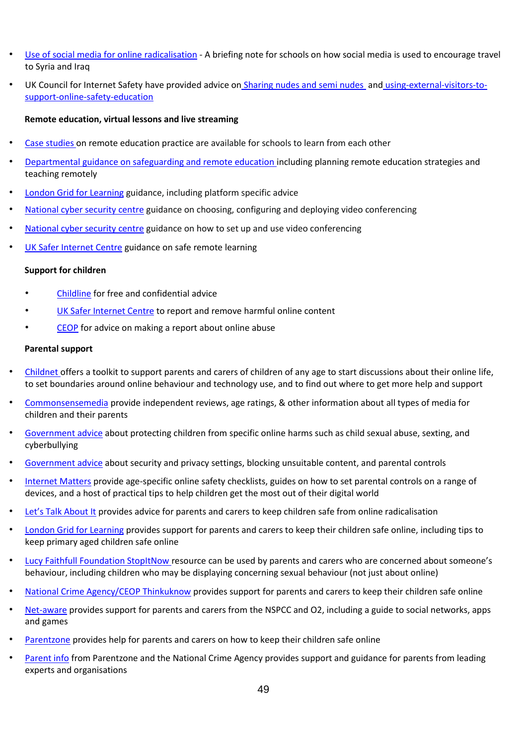- [Use of social media for online radicalisation](https://www.gov.uk/government/publications/the-use-of-social-media-for-online-radicalisation) [-](https://www.gov.uk/government/publications/the-use-of-social-media-for-online-radicalisation) A briefing note for schools on how social media is used to encourage travel to Syria and Iraq
- UK Council for Internet Safety have provided advice on [Sharing nudes and semi nudes](https://www.gov.uk/government/publications/sexting-in-schools-and-colleges) [a](https://www.gov.uk/government/publications/sexting-in-schools-and-colleges)nd [using-external-visitors-to](https://www.gov.uk/government/publications/using-external-visitors-to-support-online-safety-education-guidance-for-educational-settings)[support-online-safety-education](https://www.gov.uk/government/publications/using-external-visitors-to-support-online-safety-education-guidance-for-educational-settings)

#### **Remote education, virtual lessons and live streaming**

- [Case studies](https://www.gov.uk/government/collections/case-studies-remote-education-practice-for-schools-during-coronavirus-covid-19) on remote education practice are available for schools to learn from each other
- [Departmental guidance on safeguarding and remote education](https://www.gov.uk/guidance/safeguarding-and-remote-education-during-coronavirus-covid-19) [i](https://www.gov.uk/guidance/safeguarding-and-remote-education-during-coronavirus-covid-19)ncluding planning remote education strategies and teaching remotely
- [London Grid for Learning](https://coronavirus.lgfl.net/safeguarding) [g](https://coronavirus.lgfl.net/safeguarding)uidance, including platform specific advice
- [National cyber security centre](https://www.ncsc.gov.uk/guidance/video-conferencing-services-security-guidance-organisations) guidance on choosing, configuring and deploying video conferencing
- [National cyber security centre](https://www.ncsc.gov.uk/guidance/video-conferencing-services-using-them-securely) guidance on how to set up and use video conferencing
- [UK Safer Internet Centre](https://swgfl.org.uk/resources/safe-remote-learning/) [g](https://swgfl.org.uk/resources/safe-remote-learning/)uidance on safe remote learning

#### **Support for children**

- [Childline](https://www.childline.org.uk/?utm_source=google&utm_medium=cpc&utm_campaign=UK_GO_S_B_BND_Grant_Childline_Information&utm_term=role_of_childline&gclsrc=aw.ds&&gclid=EAIaIQobChMIlfLRh-ez6AIVRrDtCh1N9QR2EAAYASAAEgLc-vD_BwE&gclsrc=aw.ds) [f](https://www.childline.org.uk/?utm_source=google&utm_medium=cpc&utm_campaign=UK_GO_S_B_BND_Grant_Childline_Information&utm_term=role_of_childline&gclsrc=aw.ds&&gclid=EAIaIQobChMIlfLRh-ez6AIVRrDtCh1N9QR2EAAYASAAEgLc-vD_BwE&gclsrc=aw.ds)or free and confidential advice
- [UK Safer Internet Centre](https://reportharmfulcontent.com/) [t](https://reportharmfulcontent.com/)o report and remove harmful online content
- [CEOP](https://www.ceop.police.uk/safety-centre/) for advice on making a report about online abuse

#### **Parental support**

- [Childnet of](https://www.childnet.com/parents-and-carers/parent-and-carer-toolkit)fers a toolkit to support parents and carers of children of any age to start discussions about their online life, to set boundaries around online behaviour and technology use, and to find out where to get more help and support
- [Commonsensemedia](http://www.commonsensemedia.org/) provide independent reviews, age ratings, & other information about all types of media for children and their parents
- [Government advice](https://www.gov.uk/government/publications/coronavirus-covid-19-keeping-children-safe-online/coronavirus-covid-19-support-for-parents-and-carers-to-keep-children-safe-online) [a](https://www.gov.uk/government/publications/coronavirus-covid-19-keeping-children-safe-online/coronavirus-covid-19-support-for-parents-and-carers-to-keep-children-safe-online)bout protecting children from specific online harms such as child sexual abuse, sexting, and cyberbullying
- [Government advice](https://www.gov.uk/guidance/covid-19-staying-safe-online) [a](https://www.gov.uk/guidance/covid-19-staying-safe-online)bout security and privacy settings, blocking unsuitable content, and parental controls
- [Internet Matters](https://www.internetmatters.org/?gclid=EAIaIQobChMIktuA5LWK2wIVRYXVCh2afg2aEAAYASAAEgIJ5vD_BwE) [p](https://www.internetmatters.org/?gclid=EAIaIQobChMIktuA5LWK2wIVRYXVCh2afg2aEAAYASAAEgIJ5vD_BwE)rovide age-specific online safety checklists, guides on how to set parental controls on a range of devices, and a host of practical tips to help children get the most out of their digital world
- [Let's Talk About It](https://www.ltai.info/staying-safe-online/) provides advice for parents and carers to keep children safe from online radicalisation
- [London Grid for Learning](http://www.lgfl.net/online-safety/) [p](http://www.lgfl.net/online-safety/)rovides support for parents and carers to keep their children safe online, including tips to keep primary aged children safe online
- [Lucy Faithfull Foundation StopItNow](https://www.stopitnow.org.uk/) resource can be used by parents and carers who are concerned about someone's behaviour, including children who may be displaying concerning sexual behaviour (not just about online)
- [National Crime Agency/CEOP Thinkuknow](http://www.thinkuknow.co.uk/) [p](http://www.thinkuknow.co.uk/)rovides support for parents and carers to keep their children safe online
- [Net-aware](https://www.net-aware.org.uk/) provides support for parents and carers from the NSPCC and O2, including a guide to social networks, apps and games
- [Parentzone](https://parentzone.org.uk/) provides help for parents and carers on how to keep their children safe online
- [Parent info](https://parentinfo.org/) [f](https://parentinfo.org/)rom Parentzone and the National Crime Agency provides support and guidance for parents from leading experts and organisations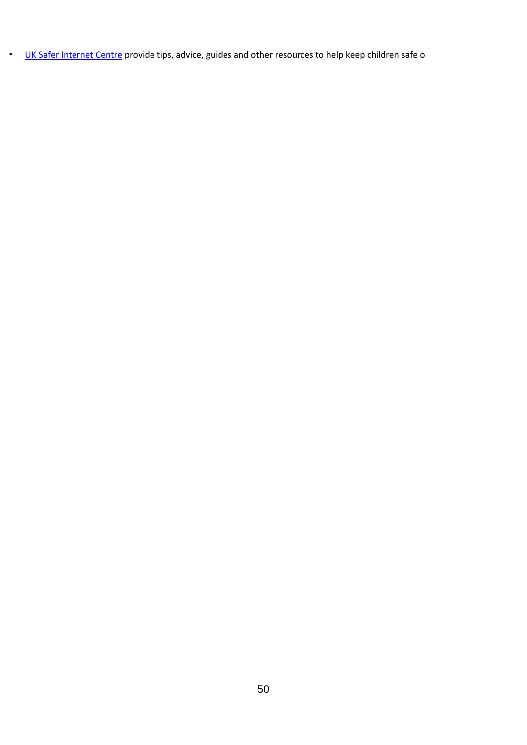• [UK Safer Internet Centre](https://www.saferinternet.org.uk/advice-centre/parents-and-carers) [p](https://www.saferinternet.org.uk/advice-centre/parents-and-carers)rovide tips, advice, guides and other resources to help keep children safe o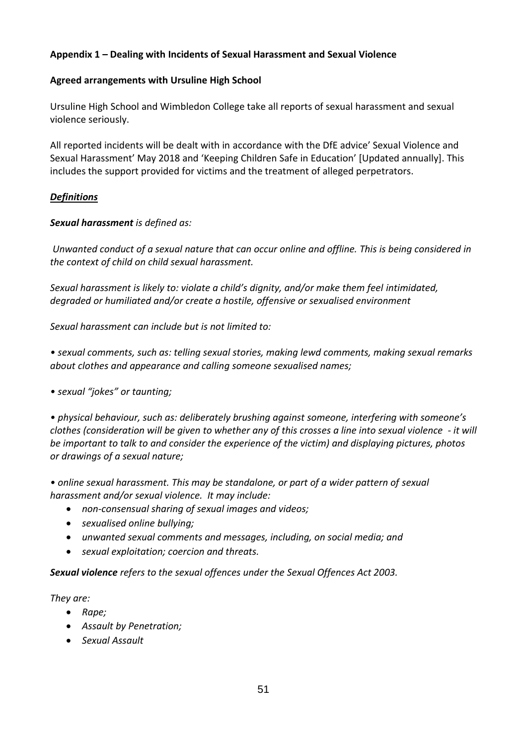# **Appendix 1 – Dealing with Incidents of Sexual Harassment and Sexual Violence**

## **Agreed arrangements with Ursuline High School**

Ursuline High School and Wimbledon College take all reports of sexual harassment and sexual violence seriously.

All reported incidents will be dealt with in accordance with the DfE advice' Sexual Violence and Sexual Harassment' May 2018 and 'Keeping Children Safe in Education' [Updated annually]. This includes the support provided for victims and the treatment of alleged perpetrators.

## *Definitions*

## *Sexual harassment is defined as:*

*Unwanted conduct of a sexual nature that can occur online and offline. This is being considered in the context of child on child sexual harassment.* 

*Sexual harassment is likely to: violate a child's dignity, and/or make them feel intimidated, degraded or humiliated and/or create a hostile, offensive or sexualised environment*

*Sexual harassment can include but is not limited to:* 

*• sexual comments, such as: telling sexual stories, making lewd comments, making sexual remarks about clothes and appearance and calling someone sexualised names;* 

*• sexual "jokes" or taunting;* 

*• physical behaviour, such as: deliberately brushing against someone, interfering with someone's clothes (consideration will be given to whether any of this crosses a line into sexual violence - it will be important to talk to and consider the experience of the victim) and displaying pictures, photos or drawings of a sexual nature;* 

*• online sexual harassment. This may be standalone, or part of a wider pattern of sexual harassment and/or sexual violence. It may include:* 

- *non-consensual sharing of sexual images and videos;*
- *sexualised online bullying;*
- *unwanted sexual comments and messages, including, on social media; and*
- *sexual exploitation; coercion and threats.*

*Sexual violence refers to the sexual offences under the Sexual Offences Act 2003.* 

*They are:*

- *Rape;*
- *Assault by Penetration;*
- *Sexual Assault*